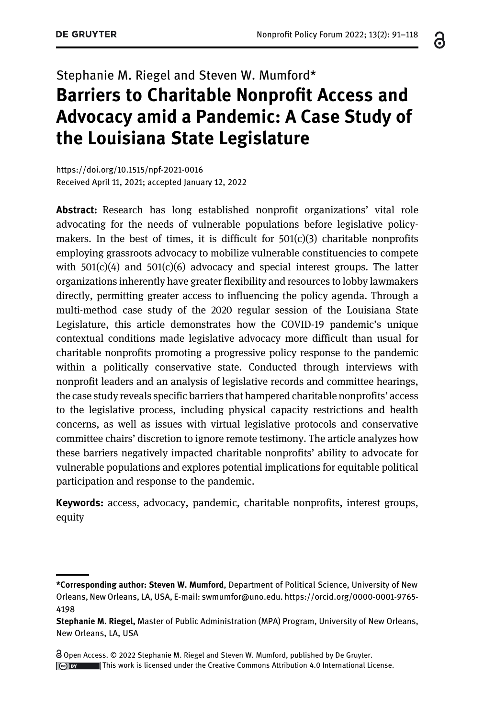# Stephanie M. Riegel and Steven W. Mumford\* Barriers to Charitable Nonprofit Access and Advocacy amid a Pandemic: A Case Study of the Louisiana State Legislature

<https://doi.org/10.1515/npf-2021-0016> Received April 11, 2021; accepted January 12, 2022

Abstract: Research has long established nonprofit organizations' vital role advocating for the needs of vulnerable populations before legislative policymakers. In the best of times, it is difficult for  $501(c)(3)$  charitable nonprofits employing grassroots advocacy to mobilize vulnerable constituencies to compete with  $501(c)(4)$  and  $501(c)(6)$  advocacy and special interest groups. The latter organizations inherently have greater flexibility and resources to lobby lawmakers directly, permitting greater access to influencing the policy agenda. Through a multi-method case study of the 2020 regular session of the Louisiana State Legislature, this article demonstrates how the COVID-19 pandemic's unique contextual conditions made legislative advocacy more difficult than usual for charitable nonprofits promoting a progressive policy response to the pandemic within a politically conservative state. Conducted through interviews with nonprofit leaders and an analysis of legislative records and committee hearings, the case study reveals specific barriers that hampered charitable nonprofits' access to the legislative process, including physical capacity restrictions and health concerns, as well as issues with virtual legislative protocols and conservative committee chairs' discretion to ignore remote testimony. The article analyzes how these barriers negatively impacted charitable nonprofits' ability to advocate for vulnerable populations and explores potential implications for equitable political participation and response to the pandemic.

Keywords: access, advocacy, pandemic, charitable nonprofits, interest groups, equity

Open Access. © 2022 Stephanie M. Riegel and Steven W. Mumford, published by De Gruyter. This work is licensed under the Creative Commons Attribution 4.0 International License. ෬

<sup>\*</sup>Corresponding author: Steven W. Mumford, Department of Political Science, University of New Orleans, New Orleans, LA, USA, E-mail: [swmumfor@uno.edu.](mailto:swmumfor@uno.edu) [https://orcid.org/0000-0001-9765-](https://orcid.org/0000-0001-9765-4198) [4198](https://orcid.org/0000-0001-9765-4198)

Stephanie M. Riegel, Master of Public Administration (MPA) Program, University of New Orleans, New Orleans, LA, USA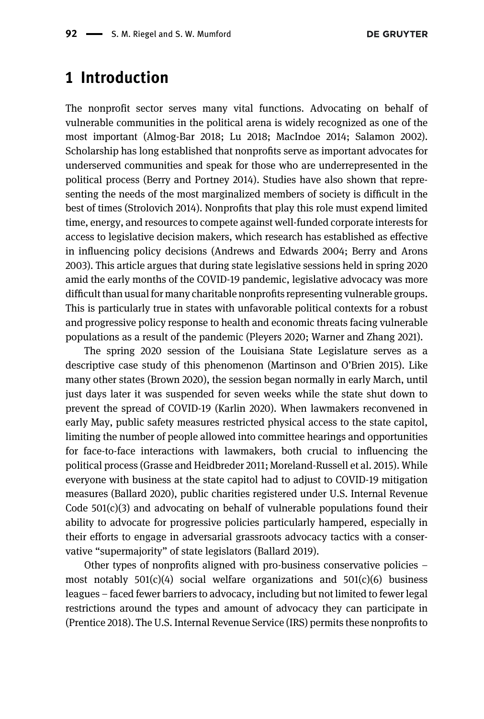## 1 Introduction

The nonprofit sector serves many vital functions. Advocating on behalf of vulnerable communities in the political arena is widely recognized as one of the most important [\(Almog-Bar 2018](#page-24-0); [Lu 2018;](#page-26-0) [MacIndoe 2014;](#page-26-1) [Salamon 2002\)](#page-27-0). Scholarship has long established that nonprofits serve as important advocates for underserved communities and speak for those who are underrepresented in the political process [\(Berry and Portney 2014\)](#page-25-0). Studies have also shown that representing the needs of the most marginalized members of society is difficult in the best of times [\(Strolovich 2014](#page-27-1)). Nonprofits that play this role must expend limited time, energy, and resources to compete against well-funded corporate interests for access to legislative decision makers, which research has established as effective in influencing policy decisions ([Andrews and Edwards 2004;](#page-24-1) [Berry and Arons](#page-25-1) [2003](#page-25-1)). This article argues that during state legislative sessions held in spring 2020 amid the early months of the COVID-19 pandemic, legislative advocacy was more difficult than usual for many charitable nonprofits representing vulnerable groups. This is particularly true in states with unfavorable political contexts for a robust and progressive policy response to health and economic threats facing vulnerable populations as a result of the pandemic [\(Pleyers 2020](#page-27-2); [Warner and Zhang 2021\)](#page-27-3).

The spring 2020 session of the Louisiana State Legislature serves as a descriptive case study of this phenomenon ([Martinson and O](#page-26-2)'Brien 2015). Like many other states ([Brown 2020\)](#page-25-2), the session began normally in early March, until just days later it was suspended for seven weeks while the state shut down to prevent the spread of COVID-19 [\(Karlin 2020\)](#page-25-3). When lawmakers reconvened in early May, public safety measures restricted physical access to the state capitol, limiting the number of people allowed into committee hearings and opportunities for face-to-face interactions with lawmakers, both crucial to influencing the political process [\(Grasse and Heidbreder 2011;](#page-25-4) [Moreland-Russell et al. 2015](#page-26-3)). While everyone with business at the state capitol had to adjust to COVID-19 mitigation measures ([Ballard 2020](#page-25-5)), public charities registered under U.S. Internal Revenue Code  $501(c)(3)$  and advocating on behalf of vulnerable populations found their ability to advocate for progressive policies particularly hampered, especially in their efforts to engage in adversarial grassroots advocacy tactics with a conservative "supermajority" of state legislators ([Ballard 2019](#page-24-2)).

Other types of nonprofits aligned with pro-business conservative policies – most notably  $501(c)(4)$  social welfare organizations and  $501(c)(6)$  business leagues – faced fewer barriers to advocacy, including but not limited to fewer legal restrictions around the types and amount of advocacy they can participate in ([Prentice 2018\)](#page-27-4). The U.S. Internal Revenue Service (IRS) permits these nonprofits to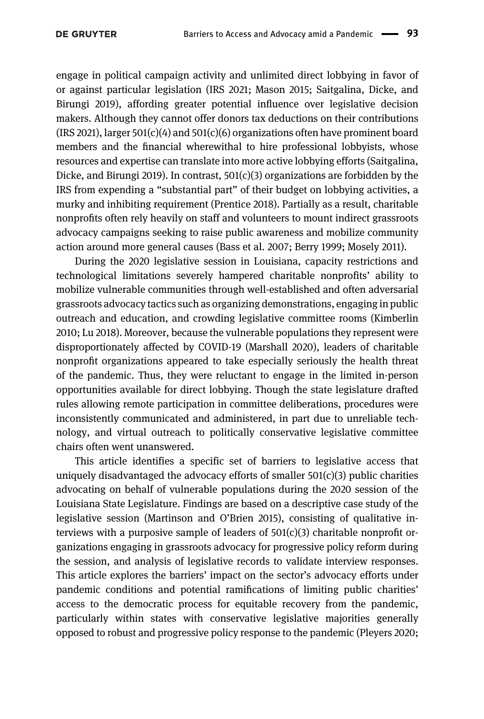engage in political campaign activity and unlimited direct lobbying in favor of or against particular legislation [\(IRS 2021](#page-25-6); [Mason 2015;](#page-26-4) [Saitgalina, Dicke, and](#page-27-5) [Birungi 2019\)](#page-27-5), affording greater potential influence over legislative decision makers. Although they cannot offer donors tax deductions on their contributions  $(IRS 2021)$  $(IRS 2021)$ , larger  $501(c)(4)$  and  $501(c)(6)$  organizations often have prominent board members and the financial wherewithal to hire professional lobbyists, whose resources and expertise can translate into more active lobbying efforts [\(Saitgalina,](#page-27-5) [Dicke, and Birungi 2019](#page-27-5)). In contrast,  $501(c)(3)$  organizations are forbidden by the IRS from expending a "substantial part" of their budget on lobbying activities, a murky and inhibiting requirement [\(Prentice 2018](#page-27-4)). Partially as a result, charitable nonprofits often rely heavily on staff and volunteers to mount indirect grassroots advocacy campaigns seeking to raise public awareness and mobilize community action around more general causes [\(Bass et al. 2007](#page-25-7); [Berry 1999](#page-25-8); [Mosely 2011\)](#page-26-5).

During the 2020 legislative session in Louisiana, capacity restrictions and technological limitations severely hampered charitable nonprofits' ability to mobilize vulnerable communities through well-established and often adversarial grassroots advocacy tactics such as organizing demonstrations, engaging in public outreach and education, and crowding legislative committee rooms ([Kimberlin](#page-25-9) [2010;](#page-25-9) [Lu 2018](#page-26-0)). Moreover, because the vulnerable populations they represent were disproportionately affected by COVID-19 ([Marshall 2020](#page-26-6)), leaders of charitable nonprofit organizations appeared to take especially seriously the health threat of the pandemic. Thus, they were reluctant to engage in the limited in-person opportunities available for direct lobbying. Though the state legislature drafted rules allowing remote participation in committee deliberations, procedures were inconsistently communicated and administered, in part due to unreliable technology, and virtual outreach to politically conservative legislative committee chairs often went unanswered.

This article identifies a specific set of barriers to legislative access that uniquely disadvantaged the advocacy efforts of smaller  $501(c)(3)$  public charities advocating on behalf of vulnerable populations during the 2020 session of the Louisiana State Legislature. Findings are based on a descriptive case study of the legislative session [\(Martinson and O](#page-26-2)'Brien 2015), consisting of qualitative interviews with a purposive sample of leaders of  $501(c)(3)$  charitable nonprofit organizations engaging in grassroots advocacy for progressive policy reform during the session, and analysis of legislative records to validate interview responses. This article explores the barriers' impact on the sector's advocacy efforts under pandemic conditions and potential ramifications of limiting public charities' access to the democratic process for equitable recovery from the pandemic, particularly within states with conservative legislative majorities generally opposed to robust and progressive policy response to the pandemic ([Pleyers 2020;](#page-27-2)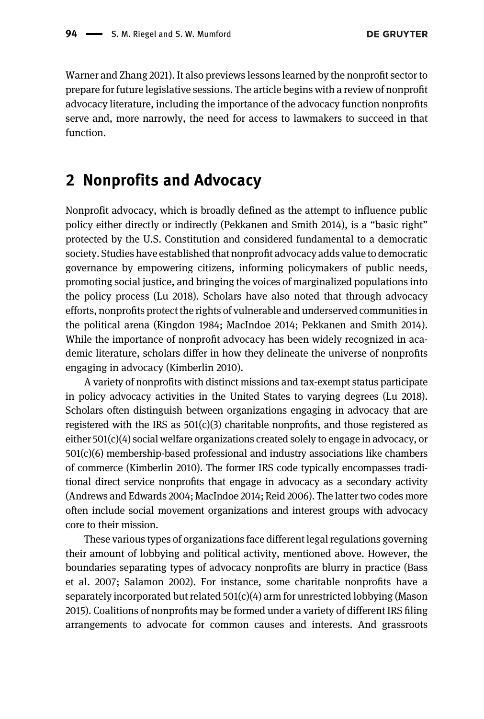[Warner and Zhang 2021](#page-27-3)). It also previews lessons learned by the nonprofit sector to prepare for future legislative sessions. The article begins with a review of nonprofit advocacy literature, including the importance of the advocacy function nonprofits serve and, more narrowly, the need for access to lawmakers to succeed in that function.

## 2 Nonprofits and Advocacy

Nonprofit advocacy, which is broadly defined as the attempt to influence public policy either directly or indirectly [\(Pekkanen and Smith 2014\)](#page-26-7), is a "basic right" protected by the U.S. Constitution and considered fundamental to a democratic society. Studies have established that nonprofit advocacy adds value to democratic governance by empowering citizens, informing policymakers of public needs, promoting social justice, and bringing the voices of marginalized populations into the policy process [\(Lu 2018](#page-26-0)). Scholars have also noted that through advocacy efforts, nonprofits protect the rights of vulnerable and underserved communities in the political arena [\(Kingdon 1984](#page-26-8); [MacIndoe 2014;](#page-26-1) [Pekkanen and Smith 2014\)](#page-26-7). While the importance of nonprofit advocacy has been widely recognized in academic literature, scholars differ in how they delineate the universe of nonprofits engaging in advocacy ([Kimberlin 2010](#page-25-9)).

A variety of nonprofits with distinct missions and tax-exempt status participate in policy advocacy activities in the United States to varying degrees [\(Lu 2018\)](#page-26-0). Scholars often distinguish between organizations engaging in advocacy that are registered with the IRS as  $501(c)(3)$  charitable nonprofits, and those registered as either 501(c)(4) social welfare organizations created solely to engage in advocacy, or 501(c)(6) membership-based professional and industry associations like chambers of commerce ([Kimberlin 2010\)](#page-25-9). The former IRS code typically encompasses traditional direct service nonprofits that engage in advocacy as a secondary activity [\(Andrews and Edwards 2004;](#page-24-1) [MacIndoe 2014](#page-26-1); [Reid 2006](#page-27-6)). The latter two codes more often include social movement organizations and interest groups with advocacy core to their mission.

These various types of organizations face different legal regulations governing their amount of lobbying and political activity, mentioned above. However, the boundaries separating types of advocacy nonprofits are blurry in practice ([Bass](#page-25-7) [et al. 2007;](#page-25-7) [Salamon 2002](#page-27-0)). For instance, some charitable nonprofits have a separately incorporated but related  $501(c)(4)$  arm for unrestricted lobbying ([Mason](#page-26-4) [2015](#page-26-4)). Coalitions of nonprofits may be formed under a variety of different IRS filing arrangements to advocate for common causes and interests. And grassroots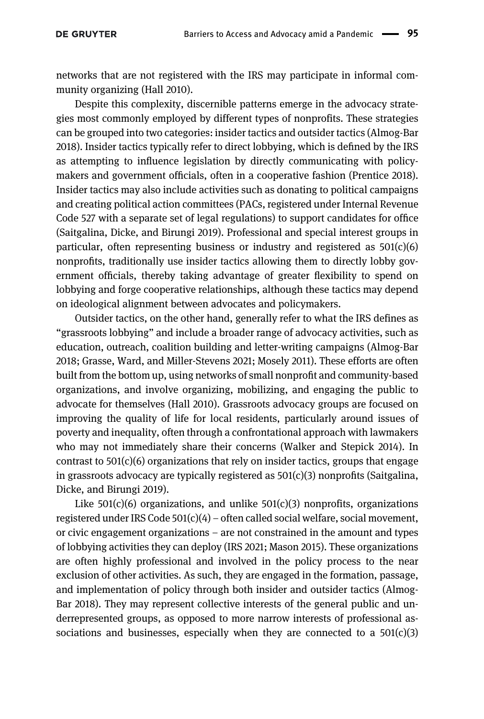networks that are not registered with the IRS may participate in informal community organizing [\(Hall 2010\)](#page-25-10).

Despite this complexity, discernible patterns emerge in the advocacy strategies most commonly employed by different types of nonprofits. These strategies can be grouped into two categories: insider tactics and outsider tactics [\(Almog-Bar](#page-24-0) [2018](#page-24-0)). Insider tactics typically refer to direct lobbying, which is defined by the IRS as attempting to influence legislation by directly communicating with policymakers and government officials, often in a cooperative fashion ([Prentice 2018](#page-27-4)). Insider tactics may also include activities such as donating to political campaigns and creating political action committees (PACs, registered under Internal Revenue Code 527 with a separate set of legal regulations) to support candidates for office [\(Saitgalina, Dicke, and Birungi 2019\)](#page-27-5). Professional and special interest groups in particular, often representing business or industry and registered as 501(c)(6) nonprofits, traditionally use insider tactics allowing them to directly lobby government officials, thereby taking advantage of greater flexibility to spend on lobbying and forge cooperative relationships, although these tactics may depend on ideological alignment between advocates and policymakers.

Outsider tactics, on the other hand, generally refer to what the IRS defines as "grassroots lobbying" and include a broader range of advocacy activities, such as education, outreach, coalition building and letter-writing campaigns [\(Almog-Bar](#page-24-0) [2018](#page-24-0); [Grasse, Ward, and Miller-Stevens 2021;](#page-25-11) [Mosely 2011](#page-26-5)). These efforts are often built from the bottom up, using networks of small nonprofit and community-based organizations, and involve organizing, mobilizing, and engaging the public to advocate for themselves ([Hall 2010](#page-25-10)). Grassroots advocacy groups are focused on improving the quality of life for local residents, particularly around issues of poverty and inequality, often through a confrontational approach with lawmakers who may not immediately share their concerns ([Walker and Stepick 2014\)](#page-27-7). In contrast to  $501(c)(6)$  organizations that rely on insider tactics, groups that engage in grassroots advocacy are typically registered as  $501(c)(3)$  nonprofits [\(Saitgalina,](#page-27-5) [Dicke, and Birungi 2019\)](#page-27-5).

Like  $501(c)(6)$  organizations, and unlike  $501(c)(3)$  nonprofits, organizations registered under IRS Code 501(c)(4) – often called social welfare, social movement, or civic engagement organizations – are not constrained in the amount and types of lobbying activities they can deploy [\(IRS 2021;](#page-25-6) [Mason 2015](#page-26-4)). These organizations are often highly professional and involved in the policy process to the near exclusion of other activities. As such, they are engaged in the formation, passage, and implementation of policy through both insider and outsider tactics [\(Almog-](#page-24-0)[Bar 2018](#page-24-0)). They may represent collective interests of the general public and underrepresented groups, as opposed to more narrow interests of professional associations and businesses, especially when they are connected to a  $501(c)(3)$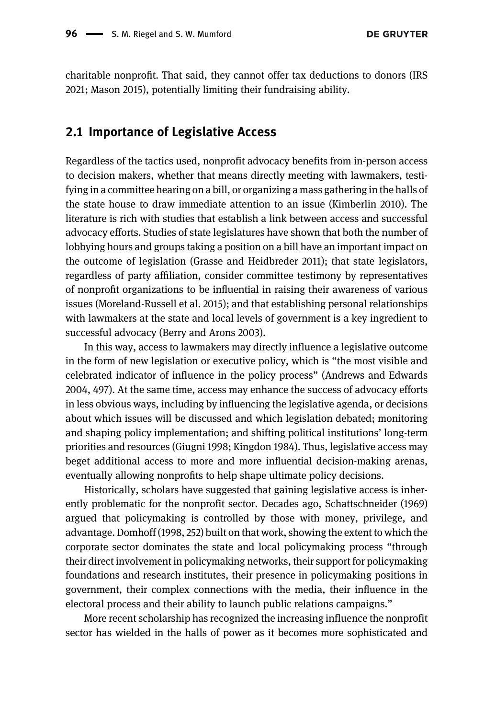charitable nonprofit. That said, they cannot offer tax deductions to donors ([IRS](#page-25-6) [2021](#page-25-6); [Mason 2015](#page-26-4)), potentially limiting their fundraising ability.

#### 2.1 Importance of Legislative Access

Regardless of the tactics used, nonprofit advocacy benefits from in-person access to decision makers, whether that means directly meeting with lawmakers, testifying in a committee hearing on a bill, or organizing a mass gathering in the halls of the state house to draw immediate attention to an issue ([Kimberlin 2010](#page-25-9)). The literature is rich with studies that establish a link between access and successful advocacy efforts. Studies of state legislatures have shown that both the number of lobbying hours and groups taking a position on a bill have an important impact on the outcome of legislation ([Grasse and Heidbreder 2011](#page-25-4)); that state legislators, regardless of party affiliation, consider committee testimony by representatives of nonprofit organizations to be influential in raising their awareness of various issues [\(Moreland-Russell et al. 2015](#page-26-3)); and that establishing personal relationships with lawmakers at the state and local levels of government is a key ingredient to successful advocacy ([Berry and Arons 2003\)](#page-25-1).

In this way, access to lawmakers may directly influence a legislative outcome in the form of new legislation or executive policy, which is "the most visible and celebrated indicator of influence in the policy process" [\(Andrews and Edwards](#page-24-1) [2004,](#page-24-1) 497). At the same time, access may enhance the success of advocacy efforts in less obvious ways, including by influencing the legislative agenda, or decisions about which issues will be discussed and which legislation debated; monitoring and shaping policy implementation; and shifting political institutions' long-term priorities and resources [\(Giugni 1998](#page-25-12); [Kingdon 1984](#page-26-8)). Thus, legislative access may beget additional access to more and more influential decision-making arenas, eventually allowing nonprofits to help shape ultimate policy decisions.

Historically, scholars have suggested that gaining legislative access is inherently problematic for the nonprofit sector. Decades ago, [Schattschneider \(1969\)](#page-27-8) argued that policymaking is controlled by those with money, privilege, and advantage. Domhoff [\(1998,](#page-25-13) 252) built on that work, showing the extent to which the corporate sector dominates the state and local policymaking process "through their direct involvement in policymaking networks, their support for policymaking foundations and research institutes, their presence in policymaking positions in government, their complex connections with the media, their influence in the electoral process and their ability to launch public relations campaigns."

More recent scholarship has recognized the increasing influence the nonprofit sector has wielded in the halls of power as it becomes more sophisticated and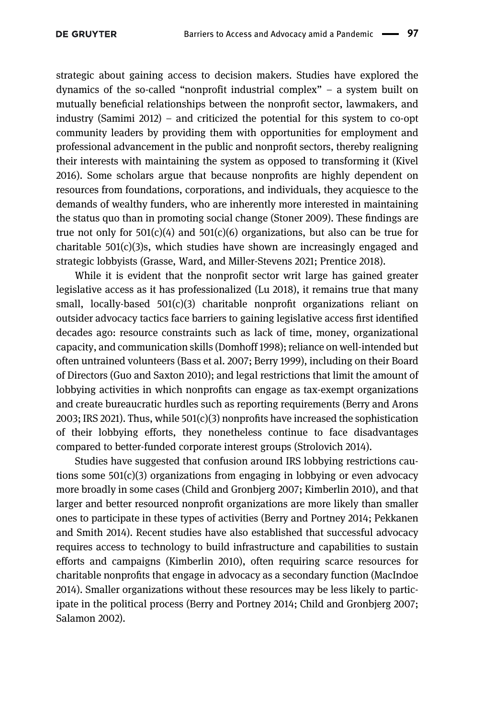strategic about gaining access to decision makers. Studies have explored the dynamics of the so-called "nonprofit industrial complex" – a system built on mutually beneficial relationships between the nonprofit sector, lawmakers, and industry ([Samimi 2012\)](#page-27-9) – and criticized the potential for this system to co-opt community leaders by providing them with opportunities for employment and professional advancement in the public and nonprofit sectors, thereby realigning their interests with maintaining the system as opposed to transforming it [\(Kivel](#page-26-9) [2016](#page-26-9)). Some scholars argue that because nonprofits are highly dependent on resources from foundations, corporations, and individuals, they acquiesce to the demands of wealthy funders, who are inherently more interested in maintaining the status quo than in promoting social change ([Stoner 2009](#page-27-10)). These findings are true not only for  $501(c)(4)$  and  $501(c)(6)$  organizations, but also can be true for charitable  $501(c)(3)$ s, which studies have shown are increasingly engaged and strategic lobbyists [\(Grasse, Ward, and Miller-Stevens 2021](#page-25-11); [Prentice 2018\)](#page-27-4).

While it is evident that the nonprofit sector writ large has gained greater legislative access as it has professionalized [\(Lu 2018](#page-26-0)), it remains true that many small, locally-based  $501(c)(3)$  charitable nonprofit organizations reliant on outsider advocacy tactics face barriers to gaining legislative access first identified decades ago: resource constraints such as lack of time, money, organizational capacity, and communication skills [\(Domhoff 1998](#page-25-13)); reliance on well-intended but often untrained volunteers ([Bass et al. 2007;](#page-25-7) [Berry 1999](#page-25-8)), including on their Board of Directors ([Guo and Saxton 2010\)](#page-25-14); and legal restrictions that limit the amount of lobbying activities in which nonprofits can engage as tax-exempt organizations and create bureaucratic hurdles such as reporting requirements ([Berry and Arons](#page-25-1) [2003;](#page-25-1) [IRS 2021\)](#page-25-6). Thus, while 501(c)(3) nonprofits have increased the sophistication of their lobbying efforts, they nonetheless continue to face disadvantages compared to better-funded corporate interest groups [\(Strolovich 2014](#page-27-1)).

Studies have suggested that confusion around IRS lobbying restrictions cautions some  $501(c)(3)$  organizations from engaging in lobbying or even advocacy more broadly in some cases [\(Child and Gronbjerg 2007;](#page-25-15) [Kimberlin 2010\)](#page-25-9), and that larger and better resourced nonprofit organizations are more likely than smaller ones to participate in these types of activities [\(Berry and Portney 2014](#page-25-0); [Pekkanen](#page-26-7) [and Smith 2014\)](#page-26-7). Recent studies have also established that successful advocacy requires access to technology to build infrastructure and capabilities to sustain efforts and campaigns ([Kimberlin 2010](#page-25-9)), often requiring scarce resources for charitable nonprofits that engage in advocacy as a secondary function ([MacIndoe](#page-26-1) [2014](#page-26-1)). Smaller organizations without these resources may be less likely to participate in the political process [\(Berry and Portney 2014;](#page-25-0) [Child and Gronbjerg 2007;](#page-25-15) [Salamon 2002](#page-27-0)).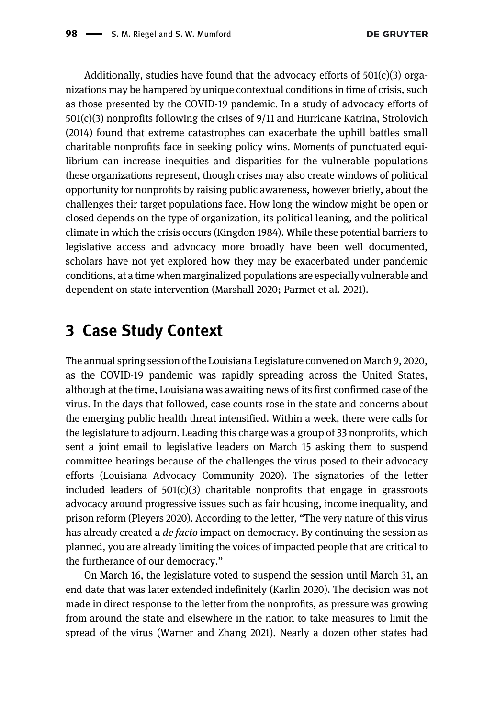Additionally, studies have found that the advocacy efforts of  $501(c)(3)$  organizations may be hampered by unique contextual conditions in time of crisis, such as those presented by the COVID-19 pandemic. In a study of advocacy efforts of 501(c)(3) nonprofits following the crises of 9/11 and Hurricane Katrina, [Strolovich](#page-27-1) [\(2014\)](#page-27-1) found that extreme catastrophes can exacerbate the uphill battles small charitable nonprofits face in seeking policy wins. Moments of punctuated equilibrium can increase inequities and disparities for the vulnerable populations these organizations represent, though crises may also create windows of political opportunity for nonprofits by raising public awareness, however briefly, about the challenges their target populations face. How long the window might be open or closed depends on the type of organization, its political leaning, and the political climate in which the crisis occurs [\(Kingdon 1984](#page-26-8)). While these potential barriers to legislative access and advocacy more broadly have been well documented, scholars have not yet explored how they may be exacerbated under pandemic conditions, at a time when marginalized populations are especially vulnerable and dependent on state intervention [\(Marshall 2020](#page-26-6); [Parmet et al. 2021\)](#page-26-10).

## 3 Case Study Context

The annual spring session of the Louisiana Legislature convened on March 9, 2020, as the COVID-19 pandemic was rapidly spreading across the United States, although at the time, Louisiana was awaiting news of its first confirmed case of the virus. In the days that followed, case counts rose in the state and concerns about the emerging public health threat intensified. Within a week, there were calls for the legislature to adjourn. Leading this charge was a group of 33 nonprofits, which sent a joint email to legislative leaders on March 15 asking them to suspend committee hearings because of the challenges the virus posed to their advocacy efforts ([Louisiana Advocacy Community 2020](#page-26-11)). The signatories of the letter included leaders of  $501(c)(3)$  charitable nonprofits that engage in grassroots advocacy around progressive issues such as fair housing, income inequality, and prison reform [\(Pleyers 2020\)](#page-27-2). According to the letter, "The very nature of this virus has already created a *de facto* impact on democracy. By continuing the session as planned, you are already limiting the voices of impacted people that are critical to the furtherance of our democracy."

On March 16, the legislature voted to suspend the session until March 31, an end date that was later extended indefinitely ([Karlin 2020](#page-25-3)). The decision was not made in direct response to the letter from the nonprofits, as pressure was growing from around the state and elsewhere in the nation to take measures to limit the spread of the virus ([Warner and Zhang 2021\)](#page-27-3). Nearly a dozen other states had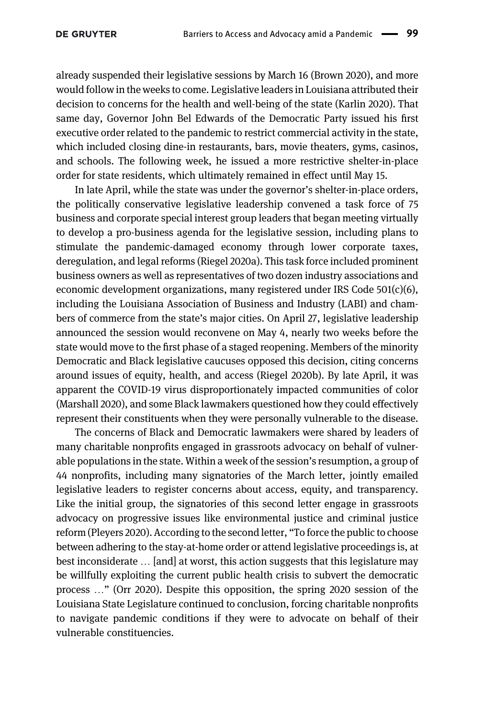already suspended their legislative sessions by March 16 [\(Brown 2020](#page-25-2)), and more would follow in the weeks to come. Legislative leaders in Louisiana attributed their decision to concerns for the health and well-being of the state [\(Karlin 2020\)](#page-25-3). That same day, Governor John Bel Edwards of the Democratic Party issued his first executive order related to the pandemic to restrict commercial activity in the state, which included closing dine-in restaurants, bars, movie theaters, gyms, casinos, and schools. The following week, he issued a more restrictive shelter-in-place order for state residents, which ultimately remained in effect until May 15.

In late April, while the state was under the governor's shelter-in-place orders, the politically conservative legislative leadership convened a task force of 75 business and corporate special interest group leaders that began meeting virtually to develop a pro-business agenda for the legislative session, including plans to stimulate the pandemic-damaged economy through lower corporate taxes, deregulation, and legal reforms [\(Riegel 2020a\)](#page-27-11). This task force included prominent business owners as well as representatives of two dozen industry associations and economic development organizations, many registered under IRS Code  $501(c)(6)$ , including the Louisiana Association of Business and Industry (LABI) and chambers of commerce from the state's major cities. On April 27, legislative leadership announced the session would reconvene on May 4, nearly two weeks before the state would move to the first phase of a staged reopening. Members of the minority Democratic and Black legislative caucuses opposed this decision, citing concerns around issues of equity, health, and access [\(Riegel 2020b\)](#page-27-12). By late April, it was apparent the COVID-19 virus disproportionately impacted communities of color [\(Marshall 2020](#page-26-6)), and some Black lawmakers questioned how they could effectively represent their constituents when they were personally vulnerable to the disease.

The concerns of Black and Democratic lawmakers were shared by leaders of many charitable nonprofits engaged in grassroots advocacy on behalf of vulnerable populations in the state. Within a week of the session's resumption, a group of 44 nonprofits, including many signatories of the March letter, jointly emailed legislative leaders to register concerns about access, equity, and transparency. Like the initial group, the signatories of this second letter engage in grassroots advocacy on progressive issues like environmental justice and criminal justice reform ([Pleyers 2020\)](#page-27-2). According to the second letter, "To force the public to choose between adhering to the stay-at-home order or attend legislative proceedings is, at best inconsiderate … [and] at worst, this action suggests that this legislature may be willfully exploiting the current public health crisis to subvert the democratic process …" ([Orr 2020\)](#page-26-12). Despite this opposition, the spring 2020 session of the Louisiana State Legislature continued to conclusion, forcing charitable nonprofits to navigate pandemic conditions if they were to advocate on behalf of their vulnerable constituencies.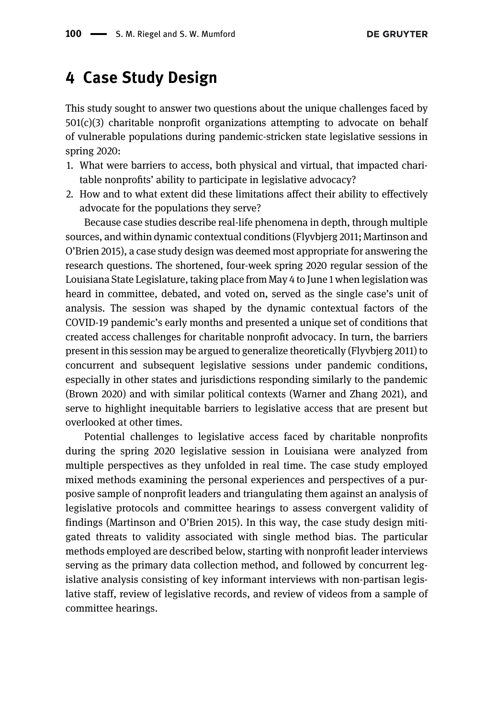## 4 Case Study Design

This study sought to answer two questions about the unique challenges faced by  $501(c)(3)$  charitable nonprofit organizations attempting to advocate on behalf of vulnerable populations during pandemic-stricken state legislative sessions in spring 2020:

- 1. What were barriers to access, both physical and virtual, that impacted charitable nonprofits' ability to participate in legislative advocacy?
- 2. How and to what extent did these limitations affect their ability to effectively advocate for the populations they serve?

Because case studies describe real-life phenomena in depth, through multiple sources, and within dynamic contextual conditions ([Flyvbjerg 2011](#page-25-16); [Martinson and](#page-26-2) O'[Brien 2015\)](#page-26-2), a case study design was deemed most appropriate for answering the research questions. The shortened, four-week spring 2020 regular session of the Louisiana State Legislature, taking place from May 4 to June 1 when legislation was heard in committee, debated, and voted on, served as the single case's unit of analysis. The session was shaped by the dynamic contextual factors of the COVID-19 pandemic's early months and presented a unique set of conditions that created access challenges for charitable nonprofit advocacy. In turn, the barriers present in this session may be argued to generalize theoretically ([Flyvbjerg 2011\)](#page-25-16) to concurrent and subsequent legislative sessions under pandemic conditions, especially in other states and jurisdictions responding similarly to the pandemic ([Brown 2020](#page-25-2)) and with similar political contexts ([Warner and Zhang 2021\)](#page-27-3), and serve to highlight inequitable barriers to legislative access that are present but overlooked at other times.

Potential challenges to legislative access faced by charitable nonprofits during the spring 2020 legislative session in Louisiana were analyzed from multiple perspectives as they unfolded in real time. The case study employed mixed methods examining the personal experiences and perspectives of a purposive sample of nonprofit leaders and triangulating them against an analysis of legislative protocols and committee hearings to assess convergent validity of findings [\(Martinson and O](#page-26-2)'Brien 2015). In this way, the case study design mitigated threats to validity associated with single method bias. The particular methods employed are described below, starting with nonprofit leader interviews serving as the primary data collection method, and followed by concurrent legislative analysis consisting of key informant interviews with non-partisan legislative staff, review of legislative records, and review of videos from a sample of committee hearings.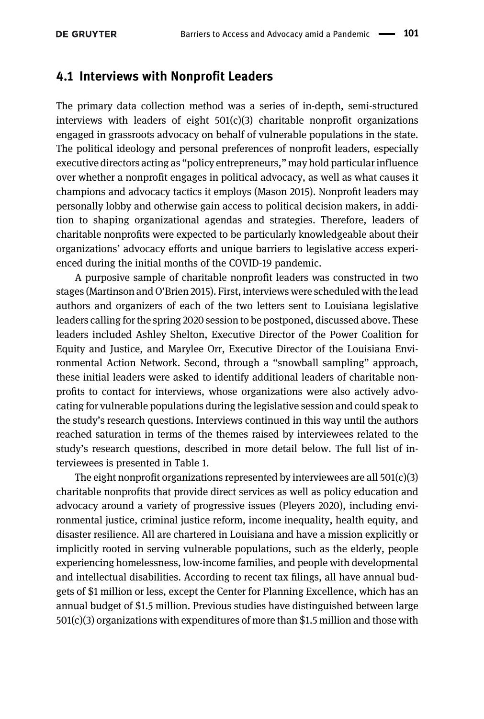#### 4.1 Interviews with Nonprofit Leaders

The primary data collection method was a series of in-depth, semi-structured interviews with leaders of eight  $501(c)(3)$  charitable nonprofit organizations engaged in grassroots advocacy on behalf of vulnerable populations in the state. The political ideology and personal preferences of nonprofit leaders, especially executive directors acting as "policy entrepreneurs," may hold particular influence over whether a nonprofit engages in political advocacy, as well as what causes it champions and advocacy tactics it employs ([Mason 2015](#page-26-4)). Nonprofit leaders may personally lobby and otherwise gain access to political decision makers, in addition to shaping organizational agendas and strategies. Therefore, leaders of charitable nonprofits were expected to be particularly knowledgeable about their organizations' advocacy efforts and unique barriers to legislative access experienced during the initial months of the COVID-19 pandemic.

A purposive sample of charitable nonprofit leaders was constructed in two stages [\(Martinson and O](#page-26-2)'Brien 2015). First, interviews were scheduled with the lead authors and organizers of each of the two letters sent to Louisiana legislative leaders calling for the spring 2020 session to be postponed, discussed above. These leaders included Ashley Shelton, Executive Director of the Power Coalition for Equity and Justice, and Marylee Orr, Executive Director of the Louisiana Environmental Action Network. Second, through a "snowball sampling" approach, these initial leaders were asked to identify additional leaders of charitable nonprofits to contact for interviews, whose organizations were also actively advocating for vulnerable populations during the legislative session and could speak to the study's research questions. Interviews continued in this way until the authors reached saturation in terms of the themes raised by interviewees related to the study's research questions, described in more detail below. The full list of interviewees is presented in [Table 1](#page-11-0).

The eight nonprofit organizations represented by interviewees are all  $501(c)(3)$ charitable nonprofits that provide direct services as well as policy education and advocacy around a variety of progressive issues [\(Pleyers 2020](#page-27-2)), including environmental justice, criminal justice reform, income inequality, health equity, and disaster resilience. All are chartered in Louisiana and have a mission explicitly or implicitly rooted in serving vulnerable populations, such as the elderly, people experiencing homelessness, low-income families, and people with developmental and intellectual disabilities. According to recent tax filings, all have annual budgets of \$1 million or less, except the Center for Planning Excellence, which has an annual budget of \$1.5 million. Previous studies have distinguished between large 501(c)(3) organizations with expenditures of more than \$1.5 million and those with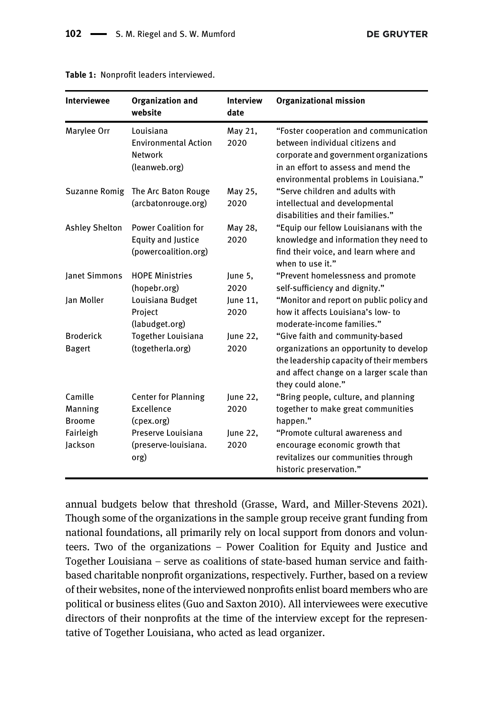| <b>Interviewee</b>                | <b>Organization and</b><br>website                                              | <b>Interview</b><br>date | <b>Organizational mission</b>                                                                                                                                                                      |
|-----------------------------------|---------------------------------------------------------------------------------|--------------------------|----------------------------------------------------------------------------------------------------------------------------------------------------------------------------------------------------|
| Marylee Orr                       | Louisiana<br><b>Environmental Action</b><br><b>Network</b><br>(leanweb.org)     | May 21,<br>2020          | "Foster cooperation and communication<br>between individual citizens and<br>corporate and government organizations<br>in an effort to assess and mend the<br>environmental problems in Louisiana." |
| Suzanne Romig                     | The Arc Baton Rouge<br>(arcbatonrouge.org)                                      | May 25,<br>2020          | "Serve children and adults with<br>intellectual and developmental<br>disabilities and their families."                                                                                             |
| <b>Ashley Shelton</b>             | <b>Power Coalition for</b><br><b>Equity and Justice</b><br>(powercoalition.org) | May 28,<br>2020          | "Equip our fellow Louisianans with the<br>knowledge and information they need to<br>find their voice, and learn where and<br>when to use it."                                                      |
| lanet Simmons                     | <b>HOPE Ministries</b><br>(hopebr.org)                                          | June 5,<br>2020          | "Prevent homelessness and promote<br>self-sufficiency and dignity."                                                                                                                                |
| Jan Moller                        | Louisiana Budget<br>Project<br>(labudget.org)                                   | June 11,<br>2020         | "Monitor and report on public policy and<br>how it affects Louisiana's low- to<br>moderate-income families."                                                                                       |
| <b>Broderick</b><br><b>Bagert</b> | Together Louisiana<br>(togetherla.org)                                          | June 22,<br>2020         | "Give faith and community-based<br>organizations an opportunity to develop<br>the leadership capacity of their members<br>and affect change on a larger scale than<br>they could alone."           |
| Camille                           | <b>Center for Planning</b>                                                      | June 22,                 | "Bring people, culture, and planning                                                                                                                                                               |
| Manning<br><b>Broome</b>          | Excellence<br>(cpex.org)                                                        | 2020                     | together to make great communities<br>happen."                                                                                                                                                     |
| Fairleigh<br>Jackson              | Preserve Louisiana<br>(preserve-louisiana.<br>org)                              | June 22,<br>2020         | "Promote cultural awareness and<br>encourage economic growth that<br>revitalizes our communities through<br>historic preservation."                                                                |

<span id="page-11-0"></span>Table 1: Nonprofit leaders interviewed.

annual budgets below that threshold [\(Grasse, Ward, and Miller-Stevens 2021\)](#page-25-11). Though some of the organizations in the sample group receive grant funding from national foundations, all primarily rely on local support from donors and volunteers. Two of the organizations – Power Coalition for Equity and Justice and Together Louisiana – serve as coalitions of state-based human service and faithbased charitable nonprofit organizations, respectively. Further, based on a review of their websites, none of the interviewed nonprofits enlist board members who are political or business elites [\(Guo and Saxton 2010](#page-25-14)). All interviewees were executive directors of their nonprofits at the time of the interview except for the representative of Together Louisiana, who acted as lead organizer.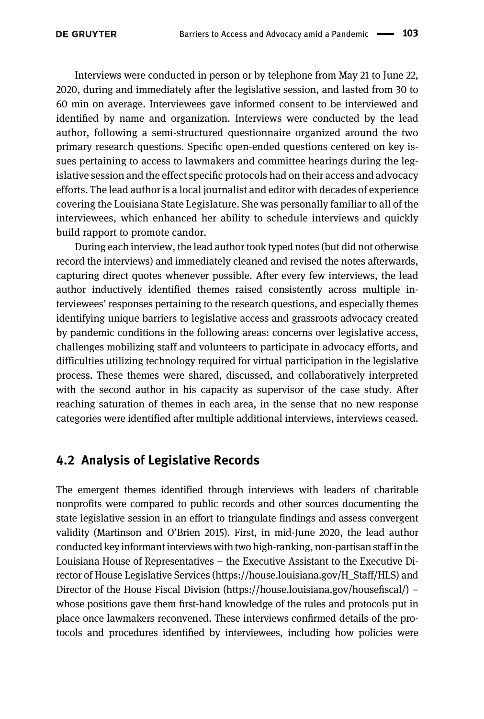Interviews were conducted in person or by telephone from May 21 to June 22, 2020, during and immediately after the legislative session, and lasted from 30 to 60 min on average. Interviewees gave informed consent to be interviewed and identified by name and organization. Interviews were conducted by the lead author, following a semi-structured questionnaire organized around the two primary research questions. Specific open-ended questions centered on key issues pertaining to access to lawmakers and committee hearings during the legislative session and the effect specific protocols had on their access and advocacy efforts. The lead author is a local journalist and editor with decades of experience covering the Louisiana State Legislature. She was personally familiar to all of the interviewees, which enhanced her ability to schedule interviews and quickly build rapport to promote candor.

During each interview, the lead author took typed notes (but did not otherwise record the interviews) and immediately cleaned and revised the notes afterwards, capturing direct quotes whenever possible. After every few interviews, the lead author inductively identified themes raised consistently across multiple interviewees' responses pertaining to the research questions, and especially themes identifying unique barriers to legislative access and grassroots advocacy created by pandemic conditions in the following areas: concerns over legislative access, challenges mobilizing staff and volunteers to participate in advocacy efforts, and difficulties utilizing technology required for virtual participation in the legislative process. These themes were shared, discussed, and collaboratively interpreted with the second author in his capacity as supervisor of the case study. After reaching saturation of themes in each area, in the sense that no new response categories were identified after multiple additional interviews, interviews ceased.

#### 4.2 Analysis of Legislative Records

The emergent themes identified through interviews with leaders of charitable nonprofits were compared to public records and other sources documenting the state legislative session in an effort to triangulate findings and assess convergent validity [\(Martinson and O](#page-26-2)'Brien 2015). First, in mid-June 2020, the lead author conducted key informant interviews with two high-ranking, non-partisan staff in the Louisiana House of Representatives – the Executive Assistant to the Executive Director of House Legislative Services ([https://house.louisiana.gov/H\\_Staff/HLS](https://house.louisiana.gov/H_Staff/HLS)) and Director of the House Fiscal Division ([https://house.louisiana.gov/house](https://house.louisiana.gov/housefiscal/)fiscal/) – whose positions gave them first-hand knowledge of the rules and protocols put in place once lawmakers reconvened. These interviews confirmed details of the protocols and procedures identified by interviewees, including how policies were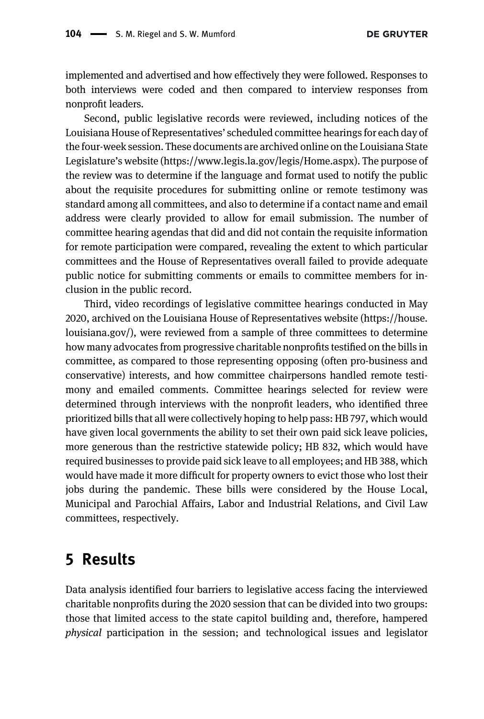implemented and advertised and how effectively they were followed. Responses to both interviews were coded and then compared to interview responses from nonprofit leaders.

Second, public legislative records were reviewed, including notices of the Louisiana House of Representatives' scheduled committee hearings for each day of the four-week session. These documents are archived online on the Louisiana State Legislature's website ([https://www.legis.la.gov/legis/Home.aspx\)](https://www.legis.la.gov/legis/Home.aspx). The purpose of the review was to determine if the language and format used to notify the public about the requisite procedures for submitting online or remote testimony was standard among all committees, and also to determine if a contact name and email address were clearly provided to allow for email submission. The number of committee hearing agendas that did and did not contain the requisite information for remote participation were compared, revealing the extent to which particular committees and the House of Representatives overall failed to provide adequate public notice for submitting comments or emails to committee members for inclusion in the public record.

Third, video recordings of legislative committee hearings conducted in May 2020, archived on the Louisiana House of Representatives website [\(https://house.](https://house.louisiana.gov/) [louisiana.gov/](https://house.louisiana.gov/)), were reviewed from a sample of three committees to determine how many advocates from progressive charitable nonprofits testified on the bills in committee, as compared to those representing opposing (often pro-business and conservative) interests, and how committee chairpersons handled remote testimony and emailed comments. Committee hearings selected for review were determined through interviews with the nonprofit leaders, who identified three prioritized bills that all were collectively hoping to help pass: HB 797, which would have given local governments the ability to set their own paid sick leave policies, more generous than the restrictive statewide policy; HB 832, which would have required businesses to provide paid sick leave to all employees; and HB 388, which would have made it more difficult for property owners to evict those who lost their jobs during the pandemic. These bills were considered by the House Local, Municipal and Parochial Affairs, Labor and Industrial Relations, and Civil Law committees, respectively.

## 5 Results

Data analysis identified four barriers to legislative access facing the interviewed charitable nonprofits during the 2020 session that can be divided into two groups: those that limited access to the state capitol building and, therefore, hampered physical participation in the session; and technological issues and legislator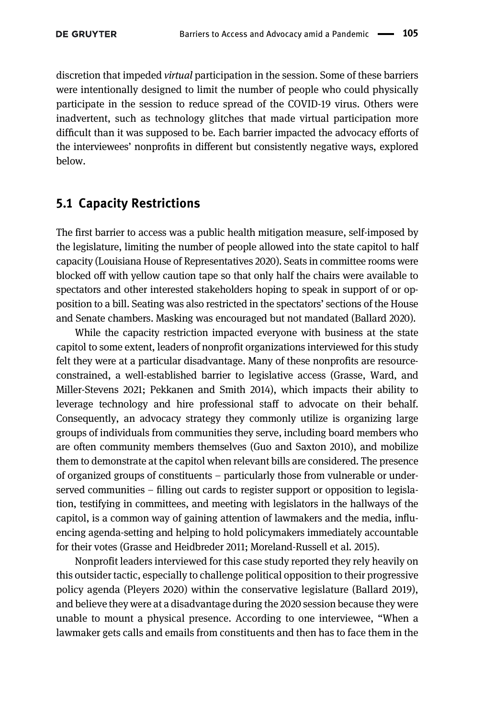discretion that impeded virtual participation in the session. Some of these barriers were intentionally designed to limit the number of people who could physically participate in the session to reduce spread of the COVID-19 virus. Others were inadvertent, such as technology glitches that made virtual participation more difficult than it was supposed to be. Each barrier impacted the advocacy efforts of the interviewees' nonprofits in different but consistently negative ways, explored below.

#### 5.1 Capacity Restrictions

The first barrier to access was a public health mitigation measure, self-imposed by the legislature, limiting the number of people allowed into the state capitol to half capacity [\(Louisiana House of Representatives 2020](#page-26-13)). Seats in committee rooms were blocked off with yellow caution tape so that only half the chairs were available to spectators and other interested stakeholders hoping to speak in support of or opposition to a bill. Seating was also restricted in the spectators' sections of the House and Senate chambers. Masking was encouraged but not mandated [\(Ballard 2020](#page-25-5)).

While the capacity restriction impacted everyone with business at the state capitol to some extent, leaders of nonprofit organizations interviewed for this study felt they were at a particular disadvantage. Many of these nonprofits are resourceconstrained, a well-established barrier to legislative access ([Grasse, Ward, and](#page-25-11) [Miller-Stevens 2021](#page-25-11); [Pekkanen and Smith 2014](#page-26-7)), which impacts their ability to leverage technology and hire professional staff to advocate on their behalf. Consequently, an advocacy strategy they commonly utilize is organizing large groups of individuals from communities they serve, including board members who are often community members themselves [\(Guo and Saxton 2010\)](#page-25-14), and mobilize them to demonstrate at the capitol when relevant bills are considered. The presence of organized groups of constituents – particularly those from vulnerable or underserved communities – filling out cards to register support or opposition to legislation, testifying in committees, and meeting with legislators in the hallways of the capitol, is a common way of gaining attention of lawmakers and the media, influencing agenda-setting and helping to hold policymakers immediately accountable for their votes ([Grasse and Heidbreder 2011](#page-25-4); [Moreland-Russell et al. 2015](#page-26-3)).

Nonprofit leaders interviewed for this case study reported they rely heavily on this outsider tactic, especially to challenge political opposition to their progressive policy agenda [\(Pleyers 2020](#page-27-2)) within the conservative legislature ([Ballard 2019\)](#page-24-2), and believe they were at a disadvantage during the 2020 session because they were unable to mount a physical presence. According to one interviewee, "When a lawmaker gets calls and emails from constituents and then has to face them in the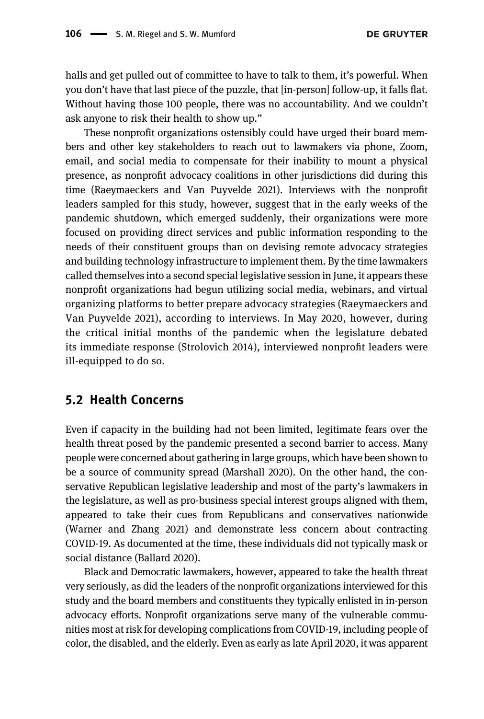halls and get pulled out of committee to have to talk to them, it's powerful. When you don't have that last piece of the puzzle, that [in-person] follow-up, it falls flat. Without having those 100 people, there was no accountability. And we couldn't ask anyone to risk their health to show up."

These nonprofit organizations ostensibly could have urged their board members and other key stakeholders to reach out to lawmakers via phone, Zoom, email, and social media to compensate for their inability to mount a physical presence, as nonprofit advocacy coalitions in other jurisdictions did during this time ([Raeymaeckers and Van Puyvelde 2021](#page-27-13)). Interviews with the nonprofit leaders sampled for this study, however, suggest that in the early weeks of the pandemic shutdown, which emerged suddenly, their organizations were more focused on providing direct services and public information responding to the needs of their constituent groups than on devising remote advocacy strategies and building technology infrastructure to implement them. By the time lawmakers called themselves into a second special legislative session in June, it appears these nonprofit organizations had begun utilizing social media, webinars, and virtual organizing platforms to better prepare advocacy strategies ([Raeymaeckers and](#page-27-13) [Van Puyvelde 2021\)](#page-27-13), according to interviews. In May 2020, however, during the critical initial months of the pandemic when the legislature debated its immediate response ([Strolovich 2014](#page-27-1)), interviewed nonprofit leaders were ill-equipped to do so.

#### 5.2 Health Concerns

Even if capacity in the building had not been limited, legitimate fears over the health threat posed by the pandemic presented a second barrier to access. Many people were concerned about gathering in large groups, which have been shown to be a source of community spread ([Marshall 2020\)](#page-26-6). On the other hand, the conservative Republican legislative leadership and most of the party's lawmakers in the legislature, as well as pro-business special interest groups aligned with them, appeared to take their cues from Republicans and conservatives nationwide ([Warner and Zhang 2021\)](#page-27-3) and demonstrate less concern about contracting COVID-19. As documented at the time, these individuals did not typically mask or social distance [\(Ballard 2020](#page-25-5)).

Black and Democratic lawmakers, however, appeared to take the health threat very seriously, as did the leaders of the nonprofit organizations interviewed for this study and the board members and constituents they typically enlisted in in-person advocacy efforts. Nonprofit organizations serve many of the vulnerable communities most at risk for developing complications from COVID-19, including people of color, the disabled, and the elderly. Even as early as late April 2020, it was apparent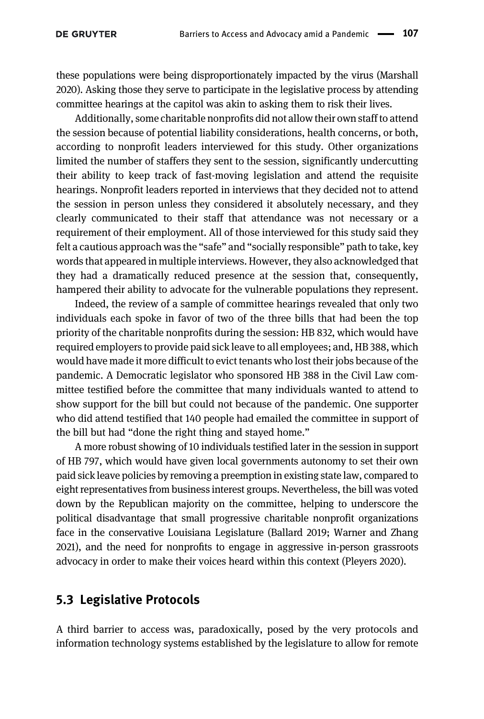these populations were being disproportionately impacted by the virus [\(Marshall](#page-26-6) [2020\)](#page-26-6). Asking those they serve to participate in the legislative process by attending committee hearings at the capitol was akin to asking them to risk their lives.

Additionally, some charitable nonprofits did not allow their own staff to attend the session because of potential liability considerations, health concerns, or both, according to nonprofit leaders interviewed for this study. Other organizations limited the number of staffers they sent to the session, significantly undercutting their ability to keep track of fast-moving legislation and attend the requisite hearings. Nonprofit leaders reported in interviews that they decided not to attend the session in person unless they considered it absolutely necessary, and they clearly communicated to their staff that attendance was not necessary or a requirement of their employment. All of those interviewed for this study said they felt a cautious approach was the "safe" and "socially responsible" path to take, key words that appeared in multiple interviews. However, they also acknowledged that they had a dramatically reduced presence at the session that, consequently, hampered their ability to advocate for the vulnerable populations they represent.

Indeed, the review of a sample of committee hearings revealed that only two individuals each spoke in favor of two of the three bills that had been the top priority of the charitable nonprofits during the session: HB 832, which would have required employers to provide paid sick leave to all employees; and, HB 388, which would have made it more difficult to evict tenants who lost their jobs because of the pandemic. A Democratic legislator who sponsored HB 388 in the Civil Law committee testified before the committee that many individuals wanted to attend to show support for the bill but could not because of the pandemic. One supporter who did attend testified that 140 people had emailed the committee in support of the bill but had "done the right thing and stayed home."

A more robust showing of 10 individuals testified later in the session in support of HB 797, which would have given local governments autonomy to set their own paid sick leave policies by removing a preemption in existing state law, compared to eight representatives from business interest groups. Nevertheless, the bill was voted down by the Republican majority on the committee, helping to underscore the political disadvantage that small progressive charitable nonprofit organizations face in the conservative Louisiana Legislature [\(Ballard 2019](#page-24-2); [Warner and Zhang](#page-27-3) [2021](#page-27-3)), and the need for nonprofits to engage in aggressive in-person grassroots advocacy in order to make their voices heard within this context [\(Pleyers 2020](#page-27-2)).

#### 5.3 Legislative Protocols

A third barrier to access was, paradoxically, posed by the very protocols and information technology systems established by the legislature to allow for remote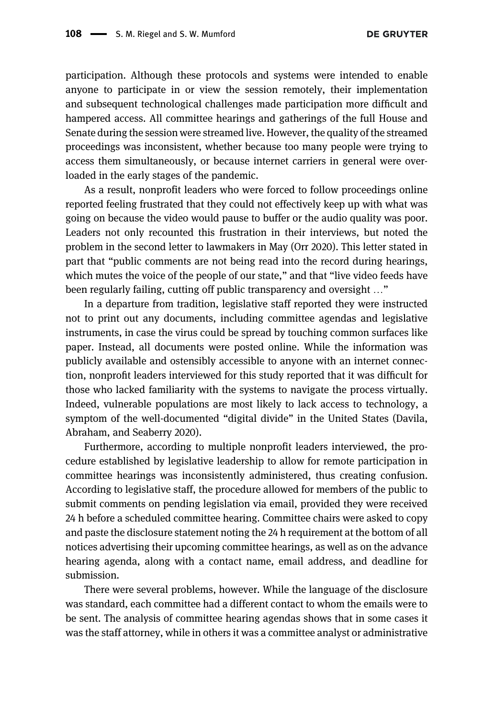participation. Although these protocols and systems were intended to enable anyone to participate in or view the session remotely, their implementation and subsequent technological challenges made participation more difficult and hampered access. All committee hearings and gatherings of the full House and Senate during the session were streamed live. However, the quality of the streamed proceedings was inconsistent, whether because too many people were trying to access them simultaneously, or because internet carriers in general were overloaded in the early stages of the pandemic.

As a result, nonprofit leaders who were forced to follow proceedings online reported feeling frustrated that they could not effectively keep up with what was going on because the video would pause to buffer or the audio quality was poor. Leaders not only recounted this frustration in their interviews, but noted the problem in the second letter to lawmakers in May [\(Orr 2020\)](#page-26-12). This letter stated in part that "public comments are not being read into the record during hearings, which mutes the voice of the people of our state," and that "live video feeds have been regularly failing, cutting off public transparency and oversight …"

In a departure from tradition, legislative staff reported they were instructed not to print out any documents, including committee agendas and legislative instruments, in case the virus could be spread by touching common surfaces like paper. Instead, all documents were posted online. While the information was publicly available and ostensibly accessible to anyone with an internet connection, nonprofit leaders interviewed for this study reported that it was difficult for those who lacked familiarity with the systems to navigate the process virtually. Indeed, vulnerable populations are most likely to lack access to technology, a symptom of the well-documented "digital divide" in the United States [\(Davila,](#page-25-17) [Abraham, and Seaberry 2020\)](#page-25-17).

Furthermore, according to multiple nonprofit leaders interviewed, the procedure established by legislative leadership to allow for remote participation in committee hearings was inconsistently administered, thus creating confusion. According to legislative staff, the procedure allowed for members of the public to submit comments on pending legislation via email, provided they were received 24 h before a scheduled committee hearing. Committee chairs were asked to copy and paste the disclosure statement noting the 24 h requirement at the bottom of all notices advertising their upcoming committee hearings, as well as on the advance hearing agenda, along with a contact name, email address, and deadline for submission.

There were several problems, however. While the language of the disclosure was standard, each committee had a different contact to whom the emails were to be sent. The analysis of committee hearing agendas shows that in some cases it was the staff attorney, while in others it was a committee analyst or administrative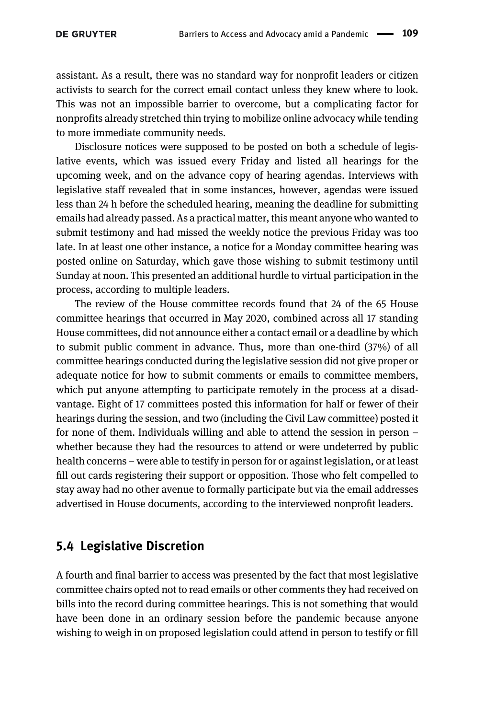assistant. As a result, there was no standard way for nonprofit leaders or citizen activists to search for the correct email contact unless they knew where to look. This was not an impossible barrier to overcome, but a complicating factor for nonprofits already stretched thin trying to mobilize online advocacy while tending to more immediate community needs.

Disclosure notices were supposed to be posted on both a schedule of legislative events, which was issued every Friday and listed all hearings for the upcoming week, and on the advance copy of hearing agendas. Interviews with legislative staff revealed that in some instances, however, agendas were issued less than 24 h before the scheduled hearing, meaning the deadline for submitting emails had already passed. As a practical matter, this meant anyone who wanted to submit testimony and had missed the weekly notice the previous Friday was too late. In at least one other instance, a notice for a Monday committee hearing was posted online on Saturday, which gave those wishing to submit testimony until Sunday at noon. This presented an additional hurdle to virtual participation in the process, according to multiple leaders.

The review of the House committee records found that 24 of the 65 House committee hearings that occurred in May 2020, combined across all 17 standing House committees, did not announce either a contact email or a deadline by which to submit public comment in advance. Thus, more than one-third (37%) of all committee hearings conducted during the legislative session did not give proper or adequate notice for how to submit comments or emails to committee members, which put anyone attempting to participate remotely in the process at a disadvantage. Eight of 17 committees posted this information for half or fewer of their hearings during the session, and two (including the Civil Law committee) posted it for none of them. Individuals willing and able to attend the session in person – whether because they had the resources to attend or were undeterred by public health concerns – were able to testify in person for or against legislation, or at least fill out cards registering their support or opposition. Those who felt compelled to stay away had no other avenue to formally participate but via the email addresses advertised in House documents, according to the interviewed nonprofit leaders.

#### 5.4 Legislative Discretion

A fourth and final barrier to access was presented by the fact that most legislative committee chairs opted not to read emails or other comments they had received on bills into the record during committee hearings. This is not something that would have been done in an ordinary session before the pandemic because anyone wishing to weigh in on proposed legislation could attend in person to testify or fill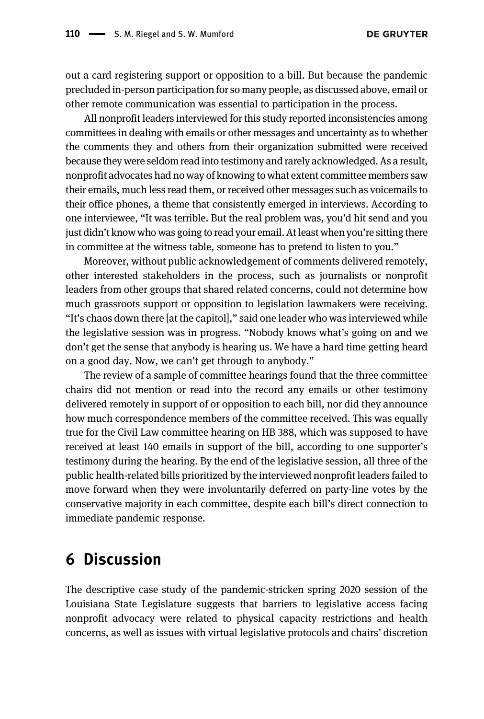out a card registering support or opposition to a bill. But because the pandemic precluded in-person participation for so many people, as discussed above, email or other remote communication was essential to participation in the process.

All nonprofit leaders interviewed for this study reported inconsistencies among committees in dealing with emails or other messages and uncertainty as to whether the comments they and others from their organization submitted were received because they were seldom read into testimony and rarely acknowledged. As a result, nonprofit advocates had no way of knowing to what extent committee members saw their emails, much less read them, or received other messages such as voicemails to their office phones, a theme that consistently emerged in interviews. According to one interviewee, "It was terrible. But the real problem was, you'd hit send and you just didn't know who was going to read your email. At least when you're sitting there in committee at the witness table, someone has to pretend to listen to you."

Moreover, without public acknowledgement of comments delivered remotely, other interested stakeholders in the process, such as journalists or nonprofit leaders from other groups that shared related concerns, could not determine how much grassroots support or opposition to legislation lawmakers were receiving. "It's chaos down there [at the capitol]," said one leader who was interviewed while the legislative session was in progress. "Nobody knows what's going on and we don't get the sense that anybody is hearing us. We have a hard time getting heard on a good day. Now, we can't get through to anybody."

The review of a sample of committee hearings found that the three committee chairs did not mention or read into the record any emails or other testimony delivered remotely in support of or opposition to each bill, nor did they announce how much correspondence members of the committee received. This was equally true for the Civil Law committee hearing on HB 388, which was supposed to have received at least 140 emails in support of the bill, according to one supporter's testimony during the hearing. By the end of the legislative session, all three of the public health-related bills prioritized by the interviewed nonprofit leaders failed to move forward when they were involuntarily deferred on party-line votes by the conservative majority in each committee, despite each bill's direct connection to immediate pandemic response.

## 6 Discussion

The descriptive case study of the pandemic-stricken spring 2020 session of the Louisiana State Legislature suggests that barriers to legislative access facing nonprofit advocacy were related to physical capacity restrictions and health concerns, as well as issues with virtual legislative protocols and chairs' discretion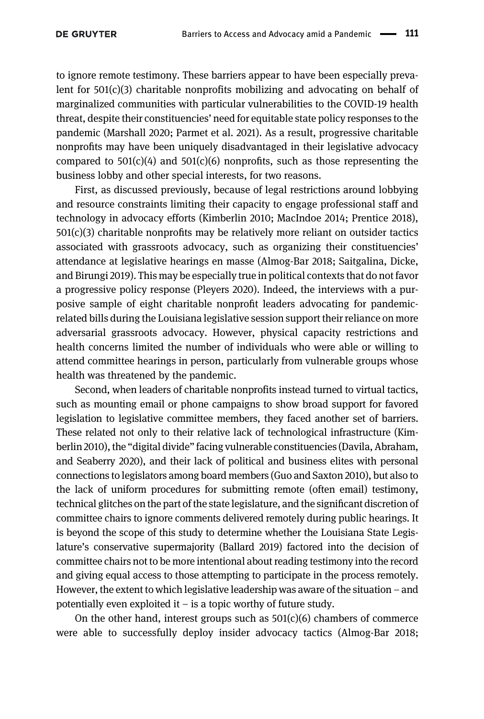to ignore remote testimony. These barriers appear to have been especially prevalent for 501(c)(3) charitable nonprofits mobilizing and advocating on behalf of marginalized communities with particular vulnerabilities to the COVID-19 health threat, despite their constituencies' need for equitable state policy responses to the pandemic ([Marshall 2020](#page-26-6); [Parmet et al. 2021](#page-26-10)). As a result, progressive charitable nonprofits may have been uniquely disadvantaged in their legislative advocacy compared to  $501(c)(4)$  and  $501(c)(6)$  nonprofits, such as those representing the business lobby and other special interests, for two reasons.

First, as discussed previously, because of legal restrictions around lobbying and resource constraints limiting their capacity to engage professional staff and technology in advocacy efforts ([Kimberlin 2010;](#page-25-9) [MacIndoe 2014](#page-26-1); [Prentice 2018\)](#page-27-4),  $501(c)(3)$  charitable nonprofits may be relatively more reliant on outsider tactics associated with grassroots advocacy, such as organizing their constituencies' attendance at legislative hearings en masse ([Almog-Bar 2018;](#page-24-0) [Saitgalina, Dicke,](#page-27-5) [and Birungi 2019](#page-27-5)). This may be especially true in political contexts that do not favor a progressive policy response ([Pleyers 2020](#page-27-2)). Indeed, the interviews with a purposive sample of eight charitable nonprofit leaders advocating for pandemicrelated bills during the Louisiana legislative session support their reliance on more adversarial grassroots advocacy. However, physical capacity restrictions and health concerns limited the number of individuals who were able or willing to attend committee hearings in person, particularly from vulnerable groups whose health was threatened by the pandemic.

Second, when leaders of charitable nonprofits instead turned to virtual tactics, such as mounting email or phone campaigns to show broad support for favored legislation to legislative committee members, they faced another set of barriers. These related not only to their relative lack of technological infrastructure ([Kim](#page-25-9)[berlin 2010\)](#page-25-9), the "digital divide" facing vulnerable constituencies [\(Davila, Abraham,](#page-25-17) [and Seaberry 2020\)](#page-25-17), and their lack of political and business elites with personal connections to legislators among board members ([Guo and Saxton 2010\)](#page-25-14), but also to the lack of uniform procedures for submitting remote (often email) testimony, technical glitches on the part of the state legislature, and the significant discretion of committee chairs to ignore comments delivered remotely during public hearings. It is beyond the scope of this study to determine whether the Louisiana State Legislature's conservative supermajority [\(Ballard 2019](#page-24-2)) factored into the decision of committee chairs not to be more intentional about reading testimony into the record and giving equal access to those attempting to participate in the process remotely. However, the extent to which legislative leadership was aware of the situation – and potentially even exploited it – is a topic worthy of future study.

On the other hand, interest groups such as  $501(c)(6)$  chambers of commerce were able to successfully deploy insider advocacy tactics ([Almog-Bar 2018;](#page-24-0)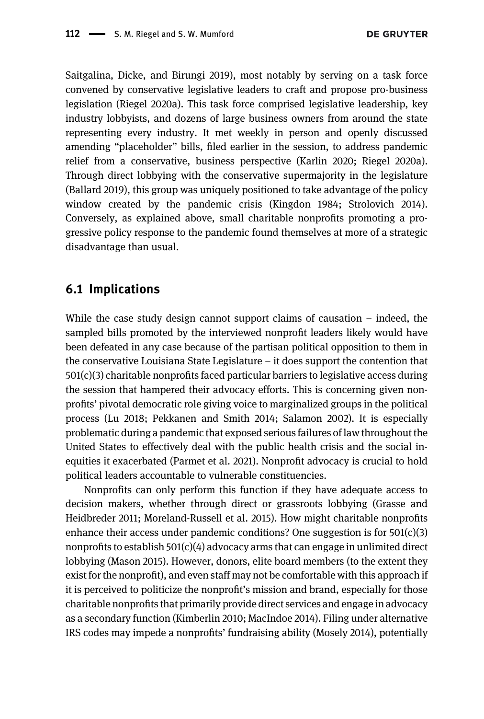[Saitgalina, Dicke, and Birungi 2019](#page-27-5)), most notably by serving on a task force convened by conservative legislative leaders to craft and propose pro-business legislation ([Riegel 2020a](#page-27-11)). This task force comprised legislative leadership, key industry lobbyists, and dozens of large business owners from around the state representing every industry. It met weekly in person and openly discussed amending "placeholder" bills, filed earlier in the session, to address pandemic relief from a conservative, business perspective [\(Karlin 2020;](#page-25-3) [Riegel 2020a\)](#page-27-11). Through direct lobbying with the conservative supermajority in the legislature ([Ballard 2019\)](#page-24-2), this group was uniquely positioned to take advantage of the policy window created by the pandemic crisis ([Kingdon 1984](#page-26-8); [Strolovich 2014\)](#page-27-1). Conversely, as explained above, small charitable nonprofits promoting a progressive policy response to the pandemic found themselves at more of a strategic disadvantage than usual.

#### 6.1 Implications

While the case study design cannot support claims of causation  $-$  indeed, the sampled bills promoted by the interviewed nonprofit leaders likely would have been defeated in any case because of the partisan political opposition to them in the conservative Louisiana State Legislature – it does support the contention that 501(c)(3) charitable nonprofits faced particular barriers to legislative access during the session that hampered their advocacy efforts. This is concerning given nonprofits' pivotal democratic role giving voice to marginalized groups in the political process ([Lu 2018](#page-26-0); [Pekkanen and Smith 2014;](#page-26-7) [Salamon 2002](#page-27-0)). It is especially problematic during a pandemic that exposed serious failures of law throughout the United States to effectively deal with the public health crisis and the social inequities it exacerbated [\(Parmet et al. 2021](#page-26-10)). Nonprofit advocacy is crucial to hold political leaders accountable to vulnerable constituencies.

Nonprofits can only perform this function if they have adequate access to decision makers, whether through direct or grassroots lobbying [\(Grasse and](#page-25-4) [Heidbreder 2011](#page-25-4); [Moreland-Russell et al. 2015\)](#page-26-3). How might charitable nonprofits enhance their access under pandemic conditions? One suggestion is for  $501(c)(3)$ nonprofits to establish  $501(c)(4)$  advocacy arms that can engage in unlimited direct lobbying ([Mason 2015\)](#page-26-4). However, donors, elite board members (to the extent they exist for the nonprofit), and even staff may not be comfortable with this approach if it is perceived to politicize the nonprofit's mission and brand, especially for those charitable nonprofits that primarily provide direct services and engage in advocacy as a secondary function ([Kimberlin 2010;](#page-25-9) [MacIndoe 2014\)](#page-26-1). Filing under alternative IRS codes may impede a nonprofits' fundraising ability [\(Mosely 2014](#page-26-14)), potentially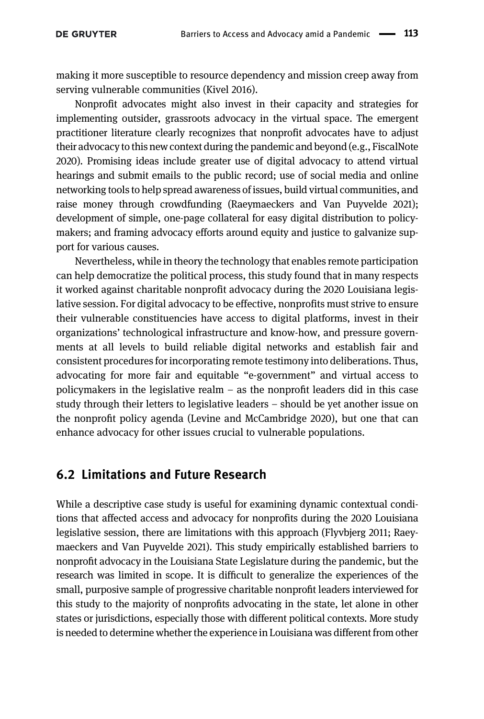making it more susceptible to resource dependency and mission creep away from serving vulnerable communities [\(Kivel 2016\)](#page-26-9).

Nonprofit advocates might also invest in their capacity and strategies for implementing outsider, grassroots advocacy in the virtual space. The emergent practitioner literature clearly recognizes that nonprofit advocates have to adjust their advocacy to this new context during the pandemic and beyond (e.g., [FiscalNote](#page-25-18) [2020\)](#page-25-18). Promising ideas include greater use of digital advocacy to attend virtual hearings and submit emails to the public record; use of social media and online networking tools to help spread awareness of issues, build virtual communities, and raise money through crowdfunding ([Raeymaeckers and Van Puyvelde 2021](#page-27-13)); development of simple, one-page collateral for easy digital distribution to policymakers; and framing advocacy efforts around equity and justice to galvanize support for various causes.

Nevertheless, while in theory the technology that enables remote participation can help democratize the political process, this study found that in many respects it worked against charitable nonprofit advocacy during the 2020 Louisiana legislative session. For digital advocacy to be effective, nonprofits must strive to ensure their vulnerable constituencies have access to digital platforms, invest in their organizations' technological infrastructure and know-how, and pressure governments at all levels to build reliable digital networks and establish fair and consistent procedures for incorporating remote testimony into deliberations. Thus, advocating for more fair and equitable "e-government" and virtual access to policymakers in the legislative realm  $-$  as the nonprofit leaders did in this case study through their letters to legislative leaders – should be yet another issue on the nonprofit policy agenda [\(Levine and McCambridge 2020\)](#page-26-15), but one that can enhance advocacy for other issues crucial to vulnerable populations.

#### 6.2 Limitations and Future Research

While a descriptive case study is useful for examining dynamic contextual conditions that affected access and advocacy for nonprofits during the 2020 Louisiana legislative session, there are limitations with this approach ([Flyvbjerg 2011;](#page-25-16) [Raey](#page-27-13)[maeckers and Van Puyvelde 2021](#page-27-13)). This study empirically established barriers to nonprofit advocacy in the Louisiana State Legislature during the pandemic, but the research was limited in scope. It is difficult to generalize the experiences of the small, purposive sample of progressive charitable nonprofit leaders interviewed for this study to the majority of nonprofits advocating in the state, let alone in other states or jurisdictions, especially those with different political contexts. More study is needed to determine whether the experience in Louisiana was different from other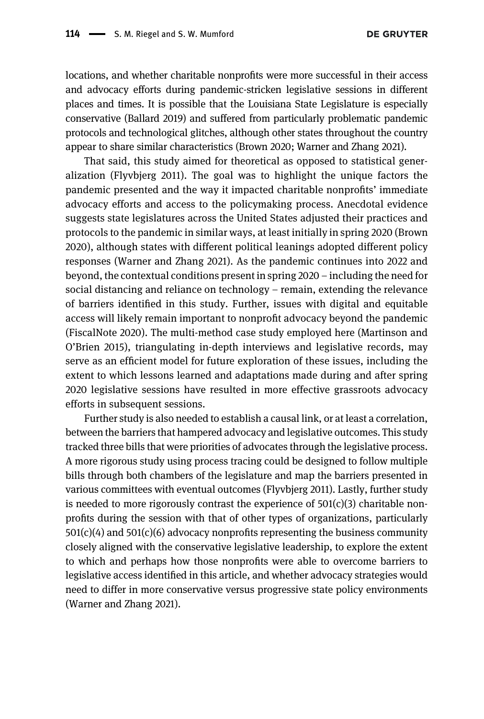locations, and whether charitable nonprofits were more successful in their access and advocacy efforts during pandemic-stricken legislative sessions in different places and times. It is possible that the Louisiana State Legislature is especially conservative ([Ballard 2019\)](#page-24-2) and suffered from particularly problematic pandemic protocols and technological glitches, although other states throughout the country appear to share similar characteristics ([Brown 2020](#page-25-2); [Warner and Zhang 2021\)](#page-27-3).

That said, this study aimed for theoretical as opposed to statistical generalization [\(Flyvbjerg 2011\)](#page-25-16). The goal was to highlight the unique factors the pandemic presented and the way it impacted charitable nonprofits' immediate advocacy efforts and access to the policymaking process. Anecdotal evidence suggests state legislatures across the United States adjusted their practices and protocols to the pandemic in similar ways, at least initially in spring 2020 [\(Brown](#page-25-2) [2020](#page-25-2)), although states with different political leanings adopted different policy responses ([Warner and Zhang 2021\)](#page-27-3). As the pandemic continues into 2022 and beyond, the contextual conditions present in spring 2020 – including the need for social distancing and reliance on technology – remain, extending the relevance of barriers identified in this study. Further, issues with digital and equitable access will likely remain important to nonprofit advocacy beyond the pandemic ([FiscalNote 2020](#page-25-18)). The multi-method case study employed here ([Martinson and](#page-26-2) O'[Brien 2015\)](#page-26-2), triangulating in-depth interviews and legislative records, may serve as an efficient model for future exploration of these issues, including the extent to which lessons learned and adaptations made during and after spring 2020 legislative sessions have resulted in more effective grassroots advocacy efforts in subsequent sessions.

Further study is also needed to establish a causal link, or at least a correlation, between the barriers that hampered advocacy and legislative outcomes. This study tracked three bills that were priorities of advocates through the legislative process. A more rigorous study using process tracing could be designed to follow multiple bills through both chambers of the legislature and map the barriers presented in various committees with eventual outcomes ([Flyvbjerg 2011\)](#page-25-16). Lastly, further study is needed to more rigorously contrast the experience of  $501(c)(3)$  charitable nonprofits during the session with that of other types of organizations, particularly  $501(c)(4)$  and  $501(c)(6)$  advocacy nonprofits representing the business community closely aligned with the conservative legislative leadership, to explore the extent to which and perhaps how those nonprofits were able to overcome barriers to legislative access identified in this article, and whether advocacy strategies would need to differ in more conservative versus progressive state policy environments ([Warner and Zhang 2021](#page-27-3)).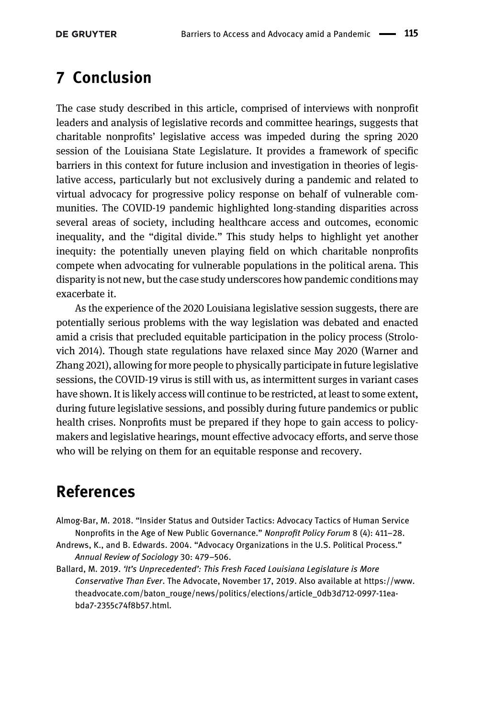# 7 Conclusion

The case study described in this article, comprised of interviews with nonprofit leaders and analysis of legislative records and committee hearings, suggests that charitable nonprofits' legislative access was impeded during the spring 2020 session of the Louisiana State Legislature. It provides a framework of specific barriers in this context for future inclusion and investigation in theories of legislative access, particularly but not exclusively during a pandemic and related to virtual advocacy for progressive policy response on behalf of vulnerable communities. The COVID-19 pandemic highlighted long-standing disparities across several areas of society, including healthcare access and outcomes, economic inequality, and the "digital divide." This study helps to highlight yet another inequity: the potentially uneven playing field on which charitable nonprofits compete when advocating for vulnerable populations in the political arena. This disparity is not new, but the case study underscores how pandemic conditions may exacerbate it.

As the experience of the 2020 Louisiana legislative session suggests, there are potentially serious problems with the way legislation was debated and enacted amid a crisis that precluded equitable participation in the policy process ([Strolo](#page-27-1)[vich 2014\)](#page-27-1). Though state regulations have relaxed since May 2020 [\(Warner and](#page-27-3) [Zhang 2021\)](#page-27-3), allowing for more people to physically participate in future legislative sessions, the COVID-19 virus is still with us, as intermittent surges in variant cases have shown. It is likely access will continue to be restricted, at least to some extent, during future legislative sessions, and possibly during future pandemics or public health crises. Nonprofits must be prepared if they hope to gain access to policymakers and legislative hearings, mount effective advocacy efforts, and serve those who will be relying on them for an equitable response and recovery.

## References

- <span id="page-24-0"></span>Almog-Bar, M. 2018. "Insider Status and Outsider Tactics: Advocacy Tactics of Human Service Nonprofits in the Age of New Public Governance." Nonprofit Policy Forum 8 (4): 411–28.
- <span id="page-24-1"></span>Andrews, K., and B. Edwards. 2004. "Advocacy Organizations in the U.S. Political Process." Annual Review of Sociology 30: 479–506.
- <span id="page-24-2"></span>Ballard, M. 2019. 'It's Unprecedented': This Fresh Faced Louisiana Legislature is More Conservative Than Ever. The Advocate, November 17, 2019. Also available at [https://www.](https://www.theadvocate.com/baton_rouge/news/politics/elections/article_0db3d712-0997-11ea-bda7-2355c74f8b57.html) [theadvocate.com/baton\\_rouge/news/politics/elections/article\\_0db3d712-0997-11ea](https://www.theadvocate.com/baton_rouge/news/politics/elections/article_0db3d712-0997-11ea-bda7-2355c74f8b57.html)[bda7-2355c74f8b57.html.](https://www.theadvocate.com/baton_rouge/news/politics/elections/article_0db3d712-0997-11ea-bda7-2355c74f8b57.html)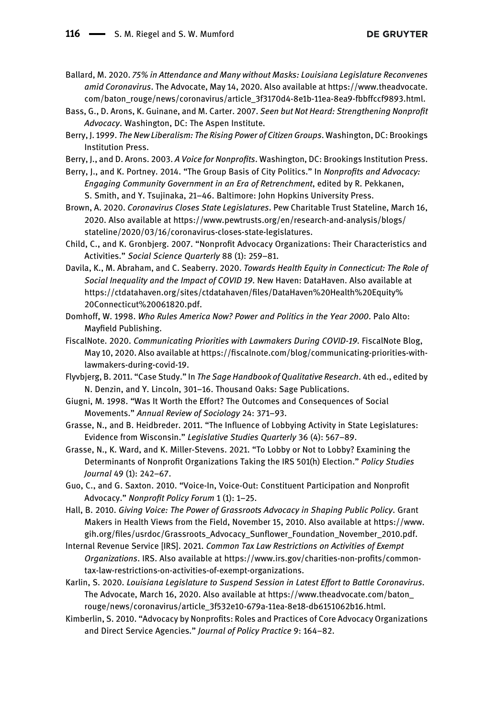<span id="page-25-5"></span>Ballard, M. 2020. 75% in Attendance and Many without Masks: Louisiana Legislature Reconvenes amid Coronavirus. The Advocate, May 14, 2020. Also available at [https://www.theadvocate.](https://www.theadvocate.com/baton_rouge/news/coronavirus/article_3f3170d4-8e1b-11ea-8ea9-fbbffccf9893.html) [com/baton\\_rouge/news/coronavirus/article\\_3f3170d4-8e1b-11ea-8ea9-fbbffccf9893.html](https://www.theadvocate.com/baton_rouge/news/coronavirus/article_3f3170d4-8e1b-11ea-8ea9-fbbffccf9893.html).

- <span id="page-25-7"></span>Bass, G., D. Arons, K. Guinane, and M. Carter. 2007. Seen but Not Heard: Strengthening Nonprofit Advocacy. Washington, DC: The Aspen Institute.
- <span id="page-25-8"></span>Berry, J. 1999. The New Liberalism: The Rising Power of Citizen Groups. Washington, DC: Brookings Institution Press.
- <span id="page-25-1"></span>Berry, J., and D. Arons. 2003. A Voice for Nonprofits. Washington, DC: Brookings Institution Press.
- <span id="page-25-0"></span>Berry, J., and K. Portney. 2014. "The Group Basis of City Politics." In Nonprofits and Advocacy: Engaging Community Government in an Era of Retrenchment, edited by R. Pekkanen, S. Smith, and Y. Tsujinaka, 21–46. Baltimore: John Hopkins University Press.
- <span id="page-25-2"></span>Brown, A. 2020. Coronavirus Closes State Legislatures. Pew Charitable Trust Stateline, March 16, 2020. Also available at [https://www.pewtrusts.org/en/research-and-analysis/blogs/](https://www.pewtrusts.org/en/research-and-analysis/blogs/stateline/2020/03/16/coronavirus-closes-state-legislatures) [stateline/2020/03/16/coronavirus-closes-state-legislatures.](https://www.pewtrusts.org/en/research-and-analysis/blogs/stateline/2020/03/16/coronavirus-closes-state-legislatures)
- <span id="page-25-15"></span>Child, C., and K. Gronbjerg. 2007. "Nonprofit Advocacy Organizations: Their Characteristics and Activities." Social Science Quarterly 88 (1): 259–81.
- <span id="page-25-17"></span>Davila, K., M. Abraham, and C. Seaberry. 2020. Towards Health Equity in Connecticut: The Role of Social Inequality and the Impact of COVID 19. New Haven: DataHaven. Also available at [https://ctdatahaven.org/sites/ctdatahaven/](https://ctdatahaven.org/sites/ctdatahaven/files/DataHaven%20Health%20Equity%20Connecticut%20061820.pdf)files/DataHaven%20Health%20Equity% [20Connecticut%20061820.pdf](https://ctdatahaven.org/sites/ctdatahaven/files/DataHaven%20Health%20Equity%20Connecticut%20061820.pdf).
- <span id="page-25-13"></span>Domhoff, W. 1998. Who Rules America Now? Power and Politics in the Year 2000. Palo Alto: Mayfield Publishing.
- <span id="page-25-18"></span>FiscalNote. 2020. Communicating Priorities with Lawmakers During COVID-19. FiscalNote Blog, May 10, 2020. Also available at https://fi[scalnote.com/blog/communicating-priorities-with](https://fiscalnote.com/blog/communicating-priorities-with-lawmakers-during-covid-19)[lawmakers-during-covid-19](https://fiscalnote.com/blog/communicating-priorities-with-lawmakers-during-covid-19).
- <span id="page-25-16"></span>Flyvbjerg, B. 2011. "Case Study." In The Sage Handbook of Qualitative Research. 4th ed., edited by N. Denzin, and Y. Lincoln, 301–16. Thousand Oaks: Sage Publications.
- <span id="page-25-12"></span>Giugni, M. 1998. "Was It Worth the Effort? The Outcomes and Consequences of Social Movements." Annual Review of Sociology 24: 371–93.
- <span id="page-25-4"></span>Grasse, N., and B. Heidbreder. 2011. "The Influence of Lobbying Activity in State Legislatures: Evidence from Wisconsin." Legislative Studies Quarterly 36 (4): 567–89.
- <span id="page-25-11"></span>Grasse, N., K. Ward, and K. Miller-Stevens. 2021. "To Lobby or Not to Lobby? Examining the Determinants of Nonprofit Organizations Taking the IRS 501(h) Election." Policy Studies Journal 49 (1): 242–67.
- <span id="page-25-14"></span>Guo, C., and G. Saxton. 2010. "Voice-In, Voice-Out: Constituent Participation and Nonprofit Advocacy." Nonprofit Policy Forum 1 (1): 1–25.
- <span id="page-25-10"></span>Hall, B. 2010. Giving Voice: The Power of Grassroots Advocacy in Shaping Public Policy. Grant Makers in Health Views from the Field, November 15, 2010. Also available at [https://www.](https://www.gih.org/files/usrdoc/Grassroots_Advocacy_Sunflower_Foundation_November_2010.pdf) gih.org/files/usrdoc/Grassroots\_Advocacy\_Sunfl[ower\\_Foundation\\_November\\_2010.pdf.](https://www.gih.org/files/usrdoc/Grassroots_Advocacy_Sunflower_Foundation_November_2010.pdf)
- <span id="page-25-6"></span>Internal Revenue Service [IRS]. 2021. Common Tax Law Restrictions on Activities of Exempt Organizations. IRS. Also available at [https://www.irs.gov/charities-non-pro](https://www.irs.gov/charities-non-profits/common-tax-law-restrictions-on-activities-of-exempt-organizations)fits/common[tax-law-restrictions-on-activities-of-exempt-organizations.](https://www.irs.gov/charities-non-profits/common-tax-law-restrictions-on-activities-of-exempt-organizations)
- <span id="page-25-3"></span>Karlin, S. 2020. Louisiana Legislature to Suspend Session in Latest Effort to Battle Coronavirus. The Advocate, March 16, 2020. Also available at [https://www.theadvocate.com/baton\\_](https://www.theadvocate.com/baton_rouge/news/coronavirus/article_3f532e10-679a-11ea-8e18-db6151062b16.html) [rouge/news/coronavirus/article\\_3f532e10-679a-11ea-8e18-db6151062b16.html.](https://www.theadvocate.com/baton_rouge/news/coronavirus/article_3f532e10-679a-11ea-8e18-db6151062b16.html)
- <span id="page-25-9"></span>Kimberlin, S. 2010. "Advocacy by Nonprofits: Roles and Practices of Core Advocacy Organizations and Direct Service Agencies." Journal of Policy Practice 9: 164–82.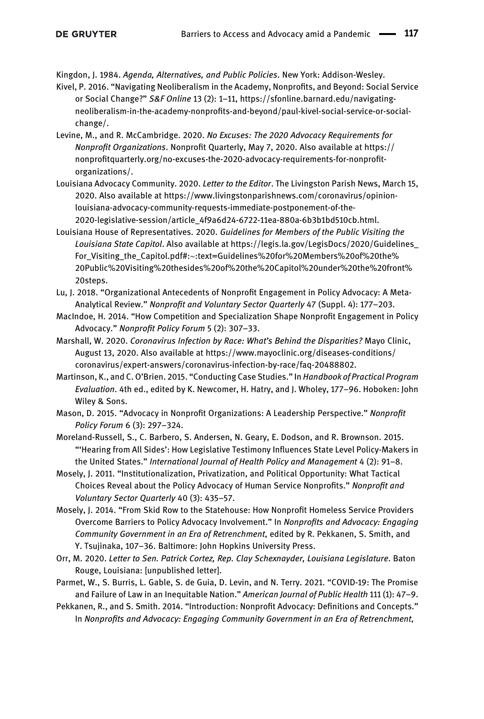<span id="page-26-8"></span>Kingdon, J. 1984. Agenda, Alternatives, and Public Policies. New York: Addison-Wesley.

- <span id="page-26-9"></span>Kivel, P. 2016. "Navigating Neoliberalism in the Academy, Nonprofits, and Beyond: Social Service or Social Change?" S&F Online 13 (2): 1–11, [https://sfonline.barnard.edu/navigating](https://sfonline.barnard.edu/navigating-neoliberalism-in-the-academy-nonprofits-and-beyond/paul-kivel-social-service-or-social-change/)neoliberalism-in-the-academy-nonprofi[ts-and-beyond/paul-kivel-social-service-or-social](https://sfonline.barnard.edu/navigating-neoliberalism-in-the-academy-nonprofits-and-beyond/paul-kivel-social-service-or-social-change/)[change/.](https://sfonline.barnard.edu/navigating-neoliberalism-in-the-academy-nonprofits-and-beyond/paul-kivel-social-service-or-social-change/)
- <span id="page-26-15"></span>Levine, M., and R. McCambridge. 2020. No Excuses: The 2020 Advocacy Requirements for Nonprofit Organizations. Nonprofit Quarterly, May 7, 2020. Also available at [https://](https://nonprofitquarterly.org/no-excuses-the-2020-advocacy-requirements-for-nonprofit-organizations/) nonprofi[tquarterly.org/no-excuses-the-2020-advocacy-requirements-for-nonpro](https://nonprofitquarterly.org/no-excuses-the-2020-advocacy-requirements-for-nonprofit-organizations/)fit[organizations/.](https://nonprofitquarterly.org/no-excuses-the-2020-advocacy-requirements-for-nonprofit-organizations/)
- <span id="page-26-11"></span>Louisiana Advocacy Community. 2020. Letter to the Editor. The Livingston Parish News, March 15, 2020. Also available at [https://www.livingstonparishnews.com/coronavirus/opinion](https://www.livingstonparishnews.com/coronavirus/opinion-louisiana-advocacy-community-requests-immediate-postponement-of-the-2020-legislative-session/article_4f9a6d24-6722-11ea-880a-6b3b1bd510cb.html)[louisiana-advocacy-community-requests-immediate-postponement-of-the-](https://www.livingstonparishnews.com/coronavirus/opinion-louisiana-advocacy-community-requests-immediate-postponement-of-the-2020-legislative-session/article_4f9a6d24-6722-11ea-880a-6b3b1bd510cb.html)[2020-legislative-session/article\\_4f9a6d24-6722-11ea-880a-6b3b1bd510cb.html](https://www.livingstonparishnews.com/coronavirus/opinion-louisiana-advocacy-community-requests-immediate-postponement-of-the-2020-legislative-session/article_4f9a6d24-6722-11ea-880a-6b3b1bd510cb.html).
- <span id="page-26-13"></span>Louisiana House of Representatives. 2020. Guidelines for Members of the Public Visiting the Louisiana State Capitol. Also available at [https://legis.la.gov/LegisDocs/2020/Guidelines\\_](https://legis.la.gov/LegisDocs/2020/Guidelines_For_Visiting_the_Capitol.pdf#:~:text=Guidelines%20for%20Members%20of%20the%20Public%20Visiting%20thesides%20of%20the%20Capitol%20under%20the%20front%20steps) For\_Visiting\_the\_Capitol.pdf#:∼[:text=Guidelines%20for%20Members%20of%20the%](https://legis.la.gov/LegisDocs/2020/Guidelines_For_Visiting_the_Capitol.pdf#:~:text=Guidelines%20for%20Members%20of%20the%20Public%20Visiting%20thesides%20of%20the%20Capitol%20under%20the%20front%20steps) [20Public%20Visiting%20thesides%20of%20the%20Capitol%20under%20the%20front%](https://legis.la.gov/LegisDocs/2020/Guidelines_For_Visiting_the_Capitol.pdf#:~:text=Guidelines%20for%20Members%20of%20the%20Public%20Visiting%20thesides%20of%20the%20Capitol%20under%20the%20front%20steps) [20steps.](https://legis.la.gov/LegisDocs/2020/Guidelines_For_Visiting_the_Capitol.pdf#:~:text=Guidelines%20for%20Members%20of%20the%20Public%20Visiting%20thesides%20of%20the%20Capitol%20under%20the%20front%20steps)
- <span id="page-26-0"></span>Lu, J. 2018. "Organizational Antecedents of Nonprofit Engagement in Policy Advocacy: A Meta-Analytical Review." Nonprofit and Voluntary Sector Quarterly 47 (Suppl. 4): 177–203.
- <span id="page-26-1"></span>MacIndoe, H. 2014. "How Competition and Specialization Shape Nonprofit Engagement in Policy Advocacy." Nonprofit Policy Forum 5 (2): 307–33.
- <span id="page-26-6"></span>Marshall, W. 2020. Coronavirus Infection by Race: What's Behind the Disparities? Mayo Clinic, August 13, 2020. Also available at [https://www.mayoclinic.org/diseases-conditions/](https://www.mayoclinic.org/diseases-conditions/coronavirus/expert-answers/coronavirus-infection-by-race/faq-20488802) [coronavirus/expert-answers/coronavirus-infection-by-race/faq-20488802.](https://www.mayoclinic.org/diseases-conditions/coronavirus/expert-answers/coronavirus-infection-by-race/faq-20488802)
- <span id="page-26-2"></span>Martinson, K., and C. O'Brien. 2015. "Conducting Case Studies." In Handbook of Practical Program Evaluation. 4th ed., edited by K. Newcomer, H. Hatry, and J. Wholey, 177–96. Hoboken: John Wiley & Sons.
- <span id="page-26-4"></span>Mason, D. 2015. "Advocacy in Nonprofit Organizations: A Leadership Perspective." Nonprofit Policy Forum 6 (3): 297–324.
- <span id="page-26-3"></span>Moreland-Russell, S., C. Barbero, S. Andersen, N. Geary, E. Dodson, and R. Brownson. 2015. "'Hearing from All Sides': How Legislative Testimony Influences State Level Policy-Makers in the United States." International Journal of Health Policy and Management 4 (2): 91–8.
- <span id="page-26-5"></span>Mosely, J. 2011. "Institutionalization, Privatization, and Political Opportunity: What Tactical Choices Reveal about the Policy Advocacy of Human Service Nonprofits." Nonprofit and Voluntary Sector Quarterly 40 (3): 435–57.
- <span id="page-26-14"></span>Mosely, J. 2014. "From Skid Row to the Statehouse: How Nonprofit Homeless Service Providers Overcome Barriers to Policy Advocacy Involvement." In Nonprofits and Advocacy: Engaging Community Government in an Era of Retrenchment, edited by R. Pekkanen, S. Smith, and Y. Tsujinaka, 107–36. Baltimore: John Hopkins University Press.
- <span id="page-26-12"></span>Orr, M. 2020. Letter to Sen. Patrick Cortez, Rep. Clay Schexnayder, Louisiana Legislature. Baton Rouge, Louisiana: [unpublished letter].
- <span id="page-26-10"></span>Parmet, W., S. Burris, L. Gable, S. de Guia, D. Levin, and N. Terry. 2021. "COVID-19: The Promise and Failure of Law in an Inequitable Nation." American Journal of Public Health 111 (1): 47-9.
- <span id="page-26-7"></span>Pekkanen, R., and S. Smith. 2014. "Introduction: Nonprofit Advocacy: Definitions and Concepts." In Nonprofits and Advocacy: Engaging Community Government in an Era of Retrenchment,